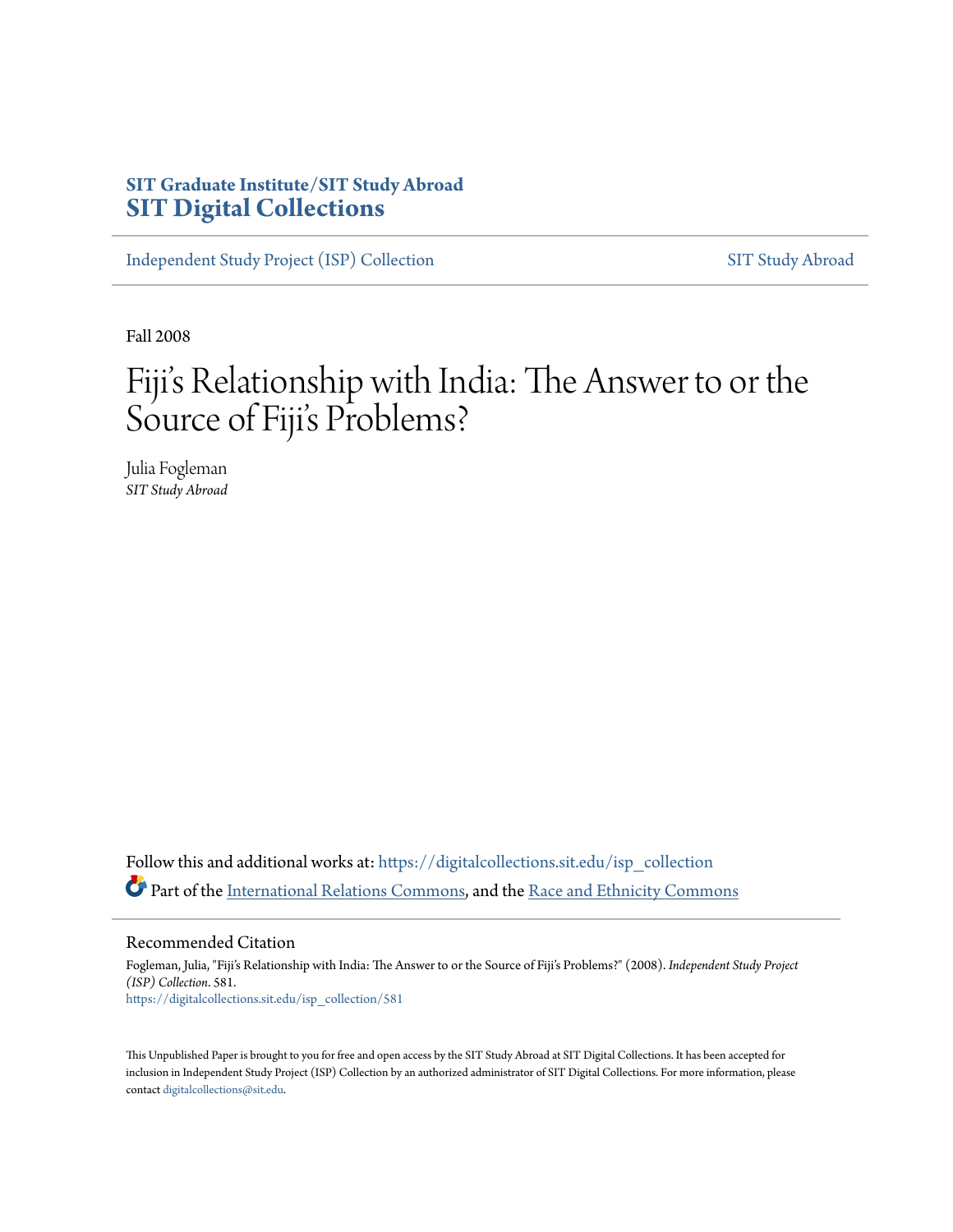# **SIT Graduate Institute/SIT Study Abroad [SIT Digital Collections](https://digitalcollections.sit.edu?utm_source=digitalcollections.sit.edu%2Fisp_collection%2F581&utm_medium=PDF&utm_campaign=PDFCoverPages)**

[Independent Study Project \(ISP\) Collection](https://digitalcollections.sit.edu/isp_collection?utm_source=digitalcollections.sit.edu%2Fisp_collection%2F581&utm_medium=PDF&utm_campaign=PDFCoverPages) [SIT Study Abroad](https://digitalcollections.sit.edu/study_abroad?utm_source=digitalcollections.sit.edu%2Fisp_collection%2F581&utm_medium=PDF&utm_campaign=PDFCoverPages)

Fall 2008

# Fiji's Relationship with India: The Answer to or the Source of Fiji's Problems?

Julia Fogleman *SIT Study Abroad*

Follow this and additional works at: [https://digitalcollections.sit.edu/isp\\_collection](https://digitalcollections.sit.edu/isp_collection?utm_source=digitalcollections.sit.edu%2Fisp_collection%2F581&utm_medium=PDF&utm_campaign=PDFCoverPages) Part of the [International Relations Commons,](http://network.bepress.com/hgg/discipline/389?utm_source=digitalcollections.sit.edu%2Fisp_collection%2F581&utm_medium=PDF&utm_campaign=PDFCoverPages) and the [Race and Ethnicity Commons](http://network.bepress.com/hgg/discipline/426?utm_source=digitalcollections.sit.edu%2Fisp_collection%2F581&utm_medium=PDF&utm_campaign=PDFCoverPages)

Recommended Citation

Fogleman, Julia, "Fiji's Relationship with India: The Answer to or the Source of Fiji's Problems?" (2008). *Independent Study Project (ISP) Collection*. 581. [https://digitalcollections.sit.edu/isp\\_collection/581](https://digitalcollections.sit.edu/isp_collection/581?utm_source=digitalcollections.sit.edu%2Fisp_collection%2F581&utm_medium=PDF&utm_campaign=PDFCoverPages)

This Unpublished Paper is brought to you for free and open access by the SIT Study Abroad at SIT Digital Collections. It has been accepted for inclusion in Independent Study Project (ISP) Collection by an authorized administrator of SIT Digital Collections. For more information, please contact [digitalcollections@sit.edu](mailto:digitalcollections@sit.edu).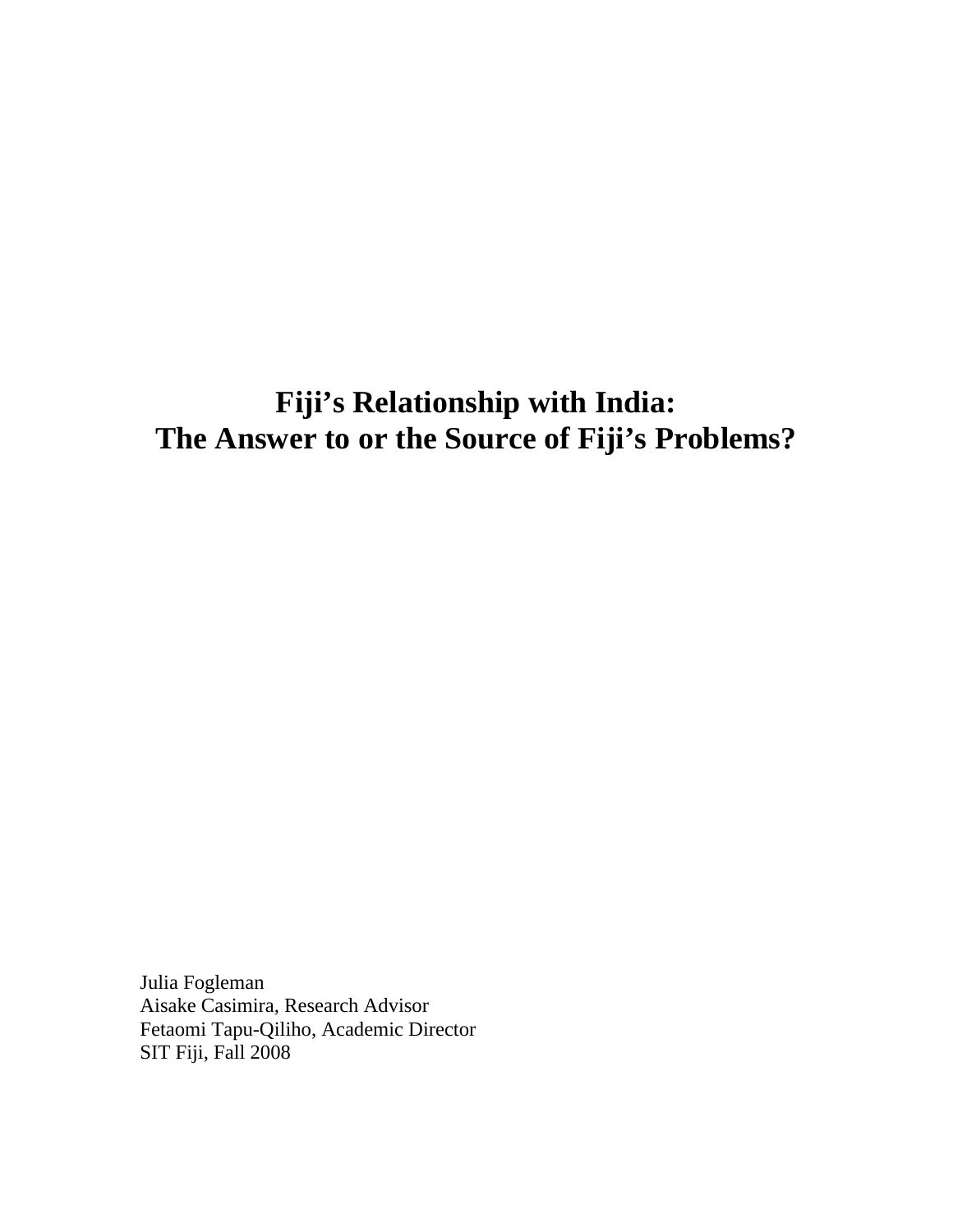# **Fiji's Relationship with India: The Answer to or the Source of Fiji's Problems?**

Julia Fogleman Aisake Casimira, Research Advisor Fetaomi Tapu-Qiliho, Academic Director SIT Fiji, Fall 2008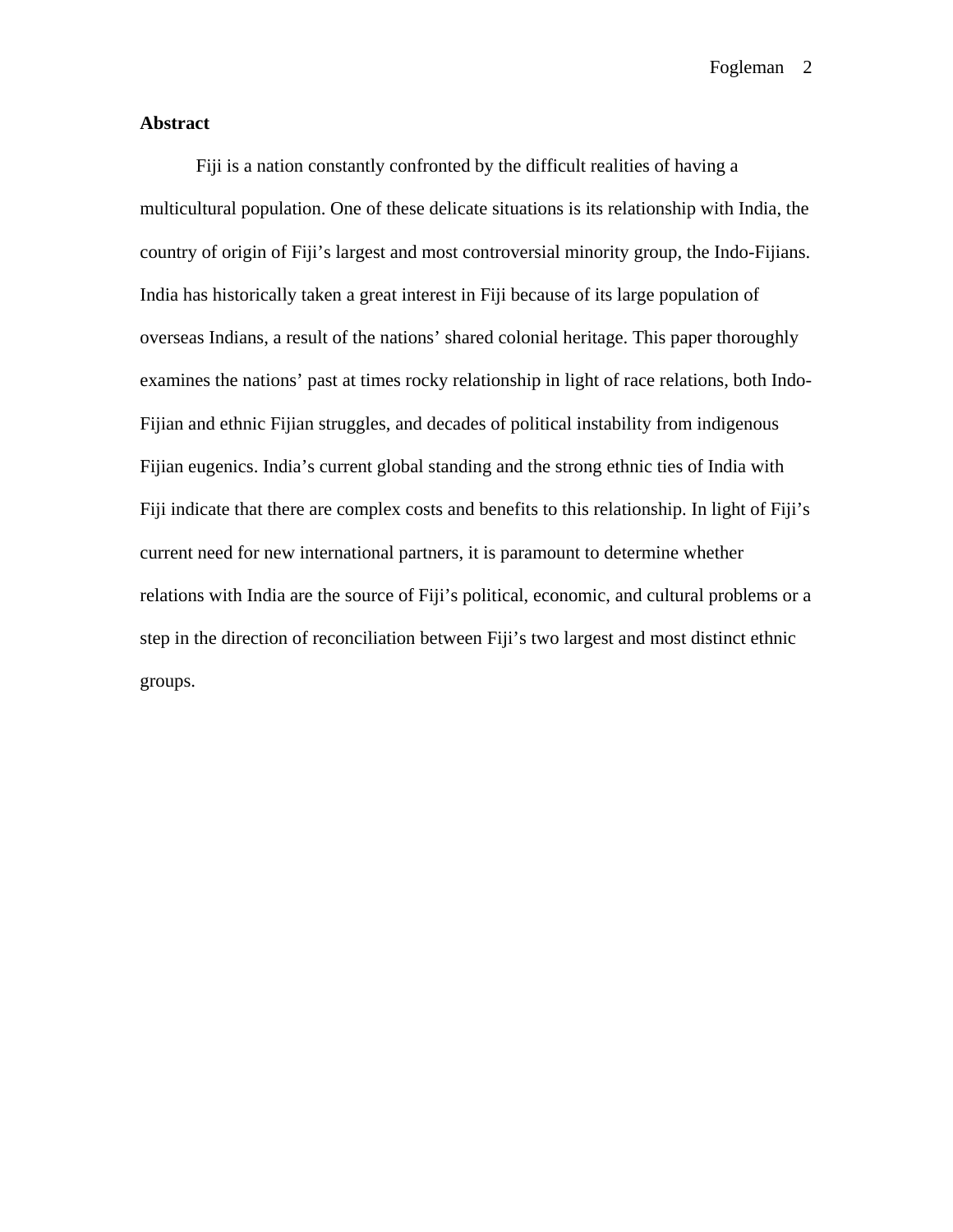## **Abstract**

 Fiji is a nation constantly confronted by the difficult realities of having a multicultural population. One of these delicate situations is its relationship with India, the country of origin of Fiji's largest and most controversial minority group, the Indo-Fijians. India has historically taken a great interest in Fiji because of its large population of overseas Indians, a result of the nations' shared colonial heritage. This paper thoroughly examines the nations' past at times rocky relationship in light of race relations, both Indo-Fijian and ethnic Fijian struggles, and decades of political instability from indigenous Fijian eugenics. India's current global standing and the strong ethnic ties of India with Fiji indicate that there are complex costs and benefits to this relationship. In light of Fiji's current need for new international partners, it is paramount to determine whether relations with India are the source of Fiji's political, economic, and cultural problems or a step in the direction of reconciliation between Fiji's two largest and most distinct ethnic groups.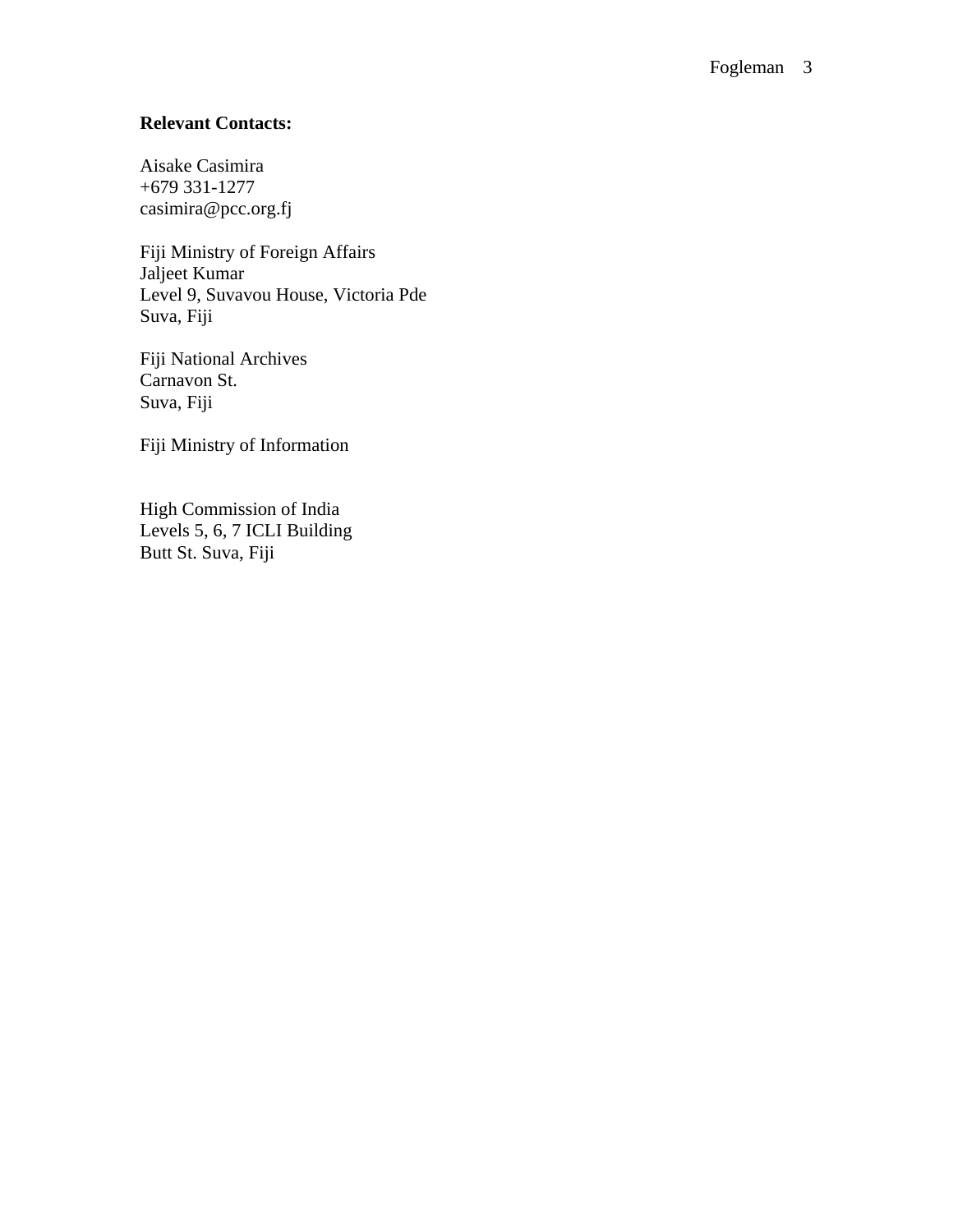# **Relevant Contacts:**

Aisake Casimira +679 331-1277 casimira@pcc.org.fj

Fiji Ministry of Foreign Affairs Jaljeet Kumar Level 9, Suvavou House, Victoria Pde Suva, Fiji

Fiji National Archives Carnavon St. Suva, Fiji

Fiji Ministry of Information

High Commission of India Levels 5, 6, 7 ICLI Building Butt St. Suva, Fiji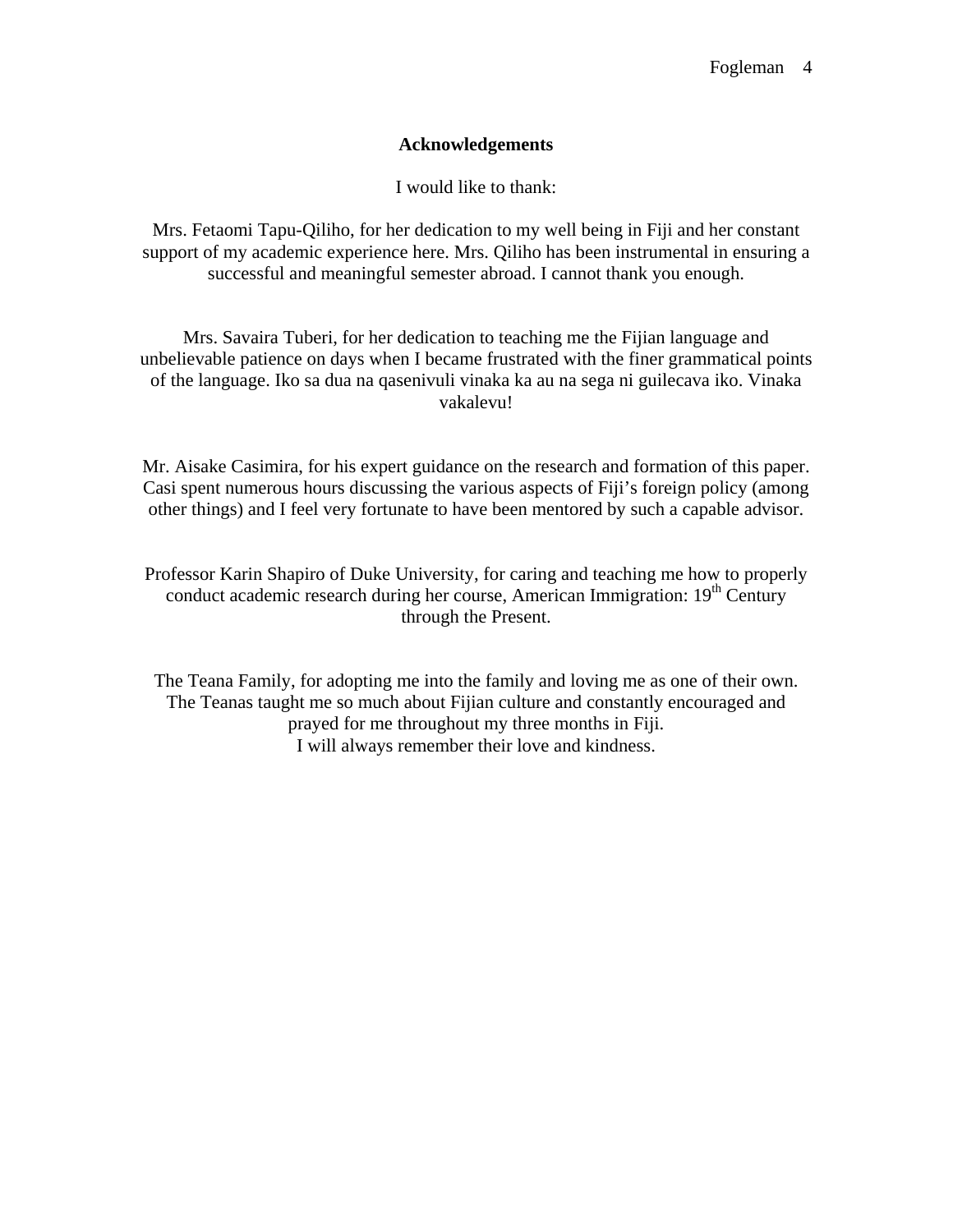### **Acknowledgements**

I would like to thank:

Mrs. Fetaomi Tapu-Qiliho, for her dedication to my well being in Fiji and her constant support of my academic experience here. Mrs. Qiliho has been instrumental in ensuring a successful and meaningful semester abroad. I cannot thank you enough.

Mrs. Savaira Tuberi, for her dedication to teaching me the Fijian language and unbelievable patience on days when I became frustrated with the finer grammatical points of the language. Iko sa dua na qasenivuli vinaka ka au na sega ni guilecava iko. Vinaka vakalevu!

Mr. Aisake Casimira, for his expert guidance on the research and formation of this paper. Casi spent numerous hours discussing the various aspects of Fiji's foreign policy (among other things) and I feel very fortunate to have been mentored by such a capable advisor.

Professor Karin Shapiro of Duke University, for caring and teaching me how to properly conduct academic research during her course, American Immigration: 19<sup>th</sup> Century through the Present.

The Teana Family, for adopting me into the family and loving me as one of their own. The Teanas taught me so much about Fijian culture and constantly encouraged and prayed for me throughout my three months in Fiji. I will always remember their love and kindness.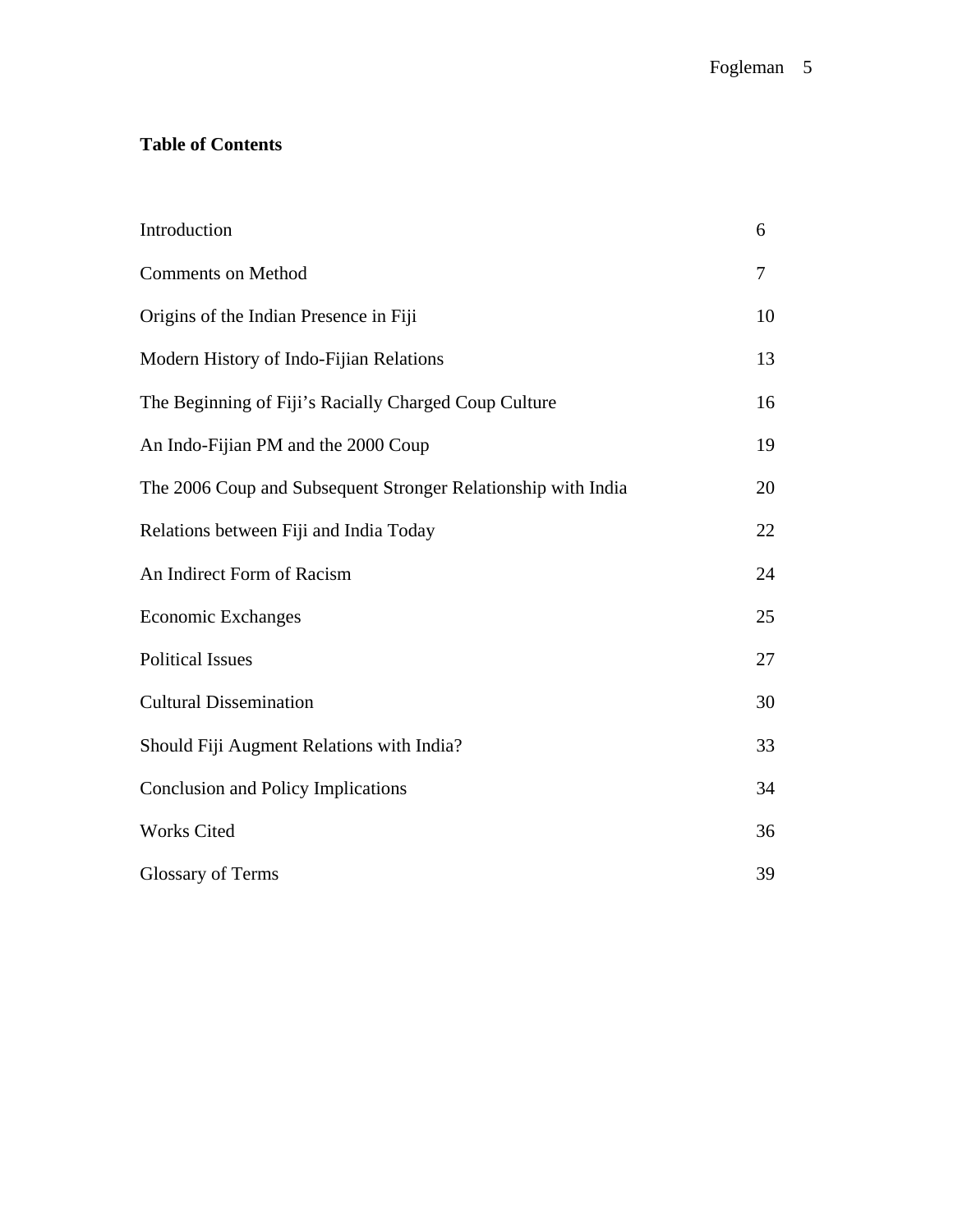# **Table of Contents**

| Introduction                                                  | 6  |
|---------------------------------------------------------------|----|
| <b>Comments on Method</b>                                     | 7  |
| Origins of the Indian Presence in Fiji                        | 10 |
| Modern History of Indo-Fijian Relations                       | 13 |
| The Beginning of Fiji's Racially Charged Coup Culture         | 16 |
| An Indo-Fijian PM and the 2000 Coup                           | 19 |
| The 2006 Coup and Subsequent Stronger Relationship with India | 20 |
| Relations between Fiji and India Today                        | 22 |
| An Indirect Form of Racism                                    | 24 |
| <b>Economic Exchanges</b>                                     | 25 |
| <b>Political Issues</b>                                       | 27 |
| <b>Cultural Dissemination</b>                                 | 30 |
| Should Fiji Augment Relations with India?                     | 33 |
| <b>Conclusion and Policy Implications</b>                     | 34 |
| <b>Works Cited</b>                                            | 36 |
| <b>Glossary of Terms</b>                                      | 39 |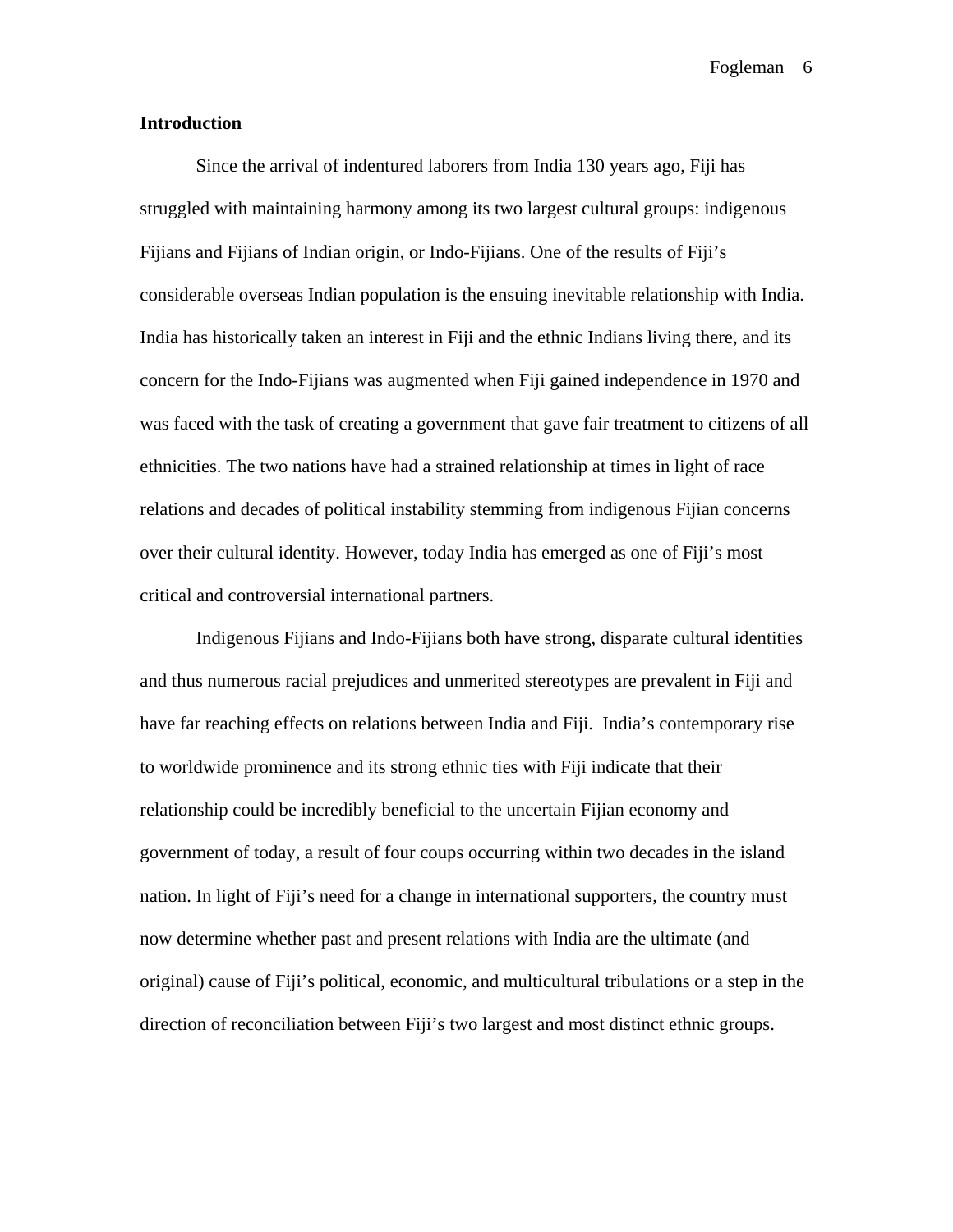#### **Introduction**

 Since the arrival of indentured laborers from India 130 years ago, Fiji has struggled with maintaining harmony among its two largest cultural groups: indigenous Fijians and Fijians of Indian origin, or Indo-Fijians. One of the results of Fiji's considerable overseas Indian population is the ensuing inevitable relationship with India. India has historically taken an interest in Fiji and the ethnic Indians living there, and its concern for the Indo-Fijians was augmented when Fiji gained independence in 1970 and was faced with the task of creating a government that gave fair treatment to citizens of all ethnicities. The two nations have had a strained relationship at times in light of race relations and decades of political instability stemming from indigenous Fijian concerns over their cultural identity. However, today India has emerged as one of Fiji's most critical and controversial international partners.

 Indigenous Fijians and Indo-Fijians both have strong, disparate cultural identities and thus numerous racial prejudices and unmerited stereotypes are prevalent in Fiji and have far reaching effects on relations between India and Fiji. India's contemporary rise to worldwide prominence and its strong ethnic ties with Fiji indicate that their relationship could be incredibly beneficial to the uncertain Fijian economy and government of today, a result of four coups occurring within two decades in the island nation. In light of Fiji's need for a change in international supporters, the country must now determine whether past and present relations with India are the ultimate (and original) cause of Fiji's political, economic, and multicultural tribulations or a step in the direction of reconciliation between Fiji's two largest and most distinct ethnic groups.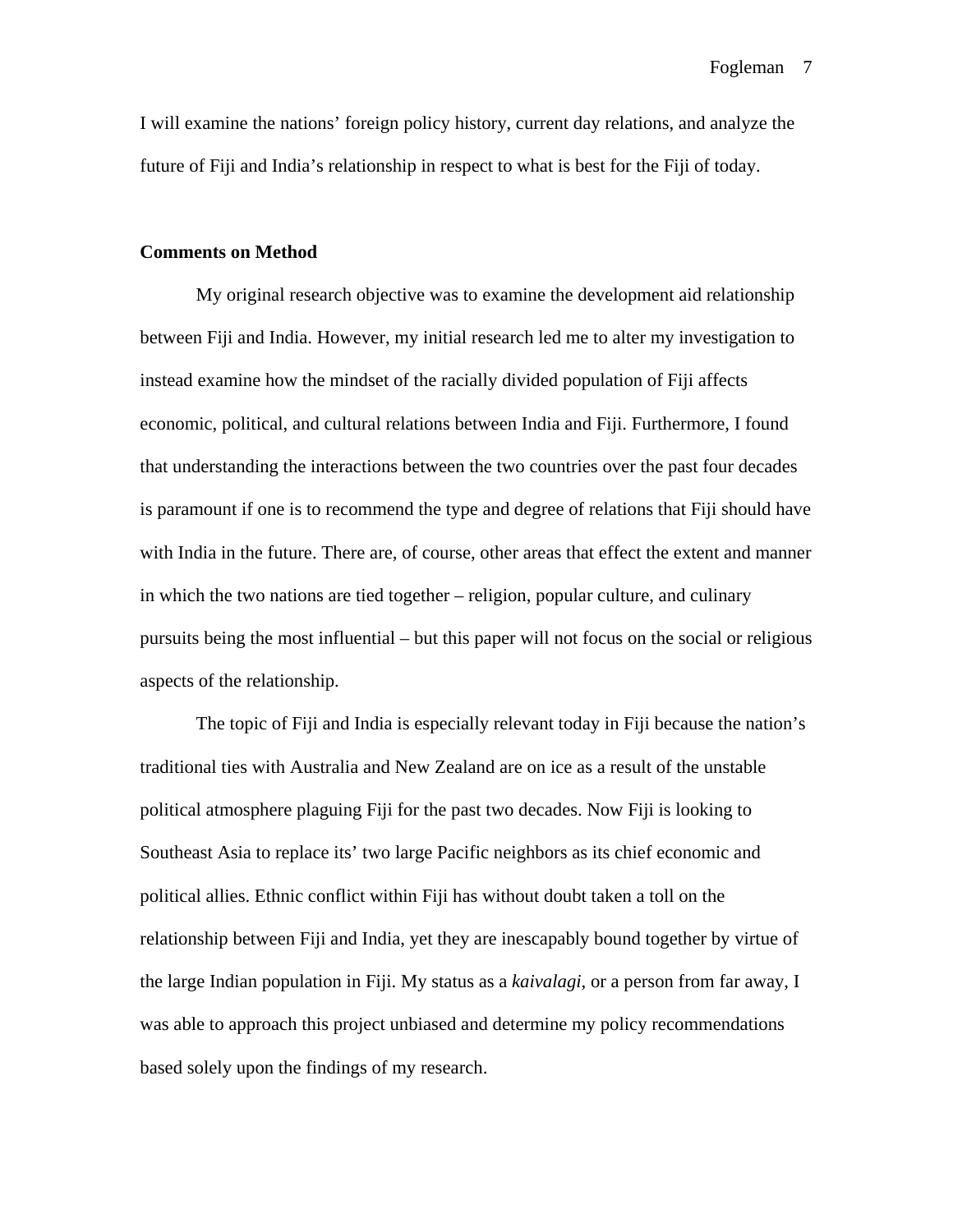I will examine the nations' foreign policy history, current day relations, and analyze the future of Fiji and India's relationship in respect to what is best for the Fiji of today.

#### **Comments on Method**

 My original research objective was to examine the development aid relationship between Fiji and India. However, my initial research led me to alter my investigation to instead examine how the mindset of the racially divided population of Fiji affects economic, political, and cultural relations between India and Fiji. Furthermore, I found that understanding the interactions between the two countries over the past four decades is paramount if one is to recommend the type and degree of relations that Fiji should have with India in the future. There are, of course, other areas that effect the extent and manner in which the two nations are tied together – religion, popular culture, and culinary pursuits being the most influential – but this paper will not focus on the social or religious aspects of the relationship.

 The topic of Fiji and India is especially relevant today in Fiji because the nation's traditional ties with Australia and New Zealand are on ice as a result of the unstable political atmosphere plaguing Fiji for the past two decades. Now Fiji is looking to Southeast Asia to replace its' two large Pacific neighbors as its chief economic and political allies. Ethnic conflict within Fiji has without doubt taken a toll on the relationship between Fiji and India, yet they are inescapably bound together by virtue of the large Indian population in Fiji. My status as a *kaivalagi*, or a person from far away, I was able to approach this project unbiased and determine my policy recommendations based solely upon the findings of my research.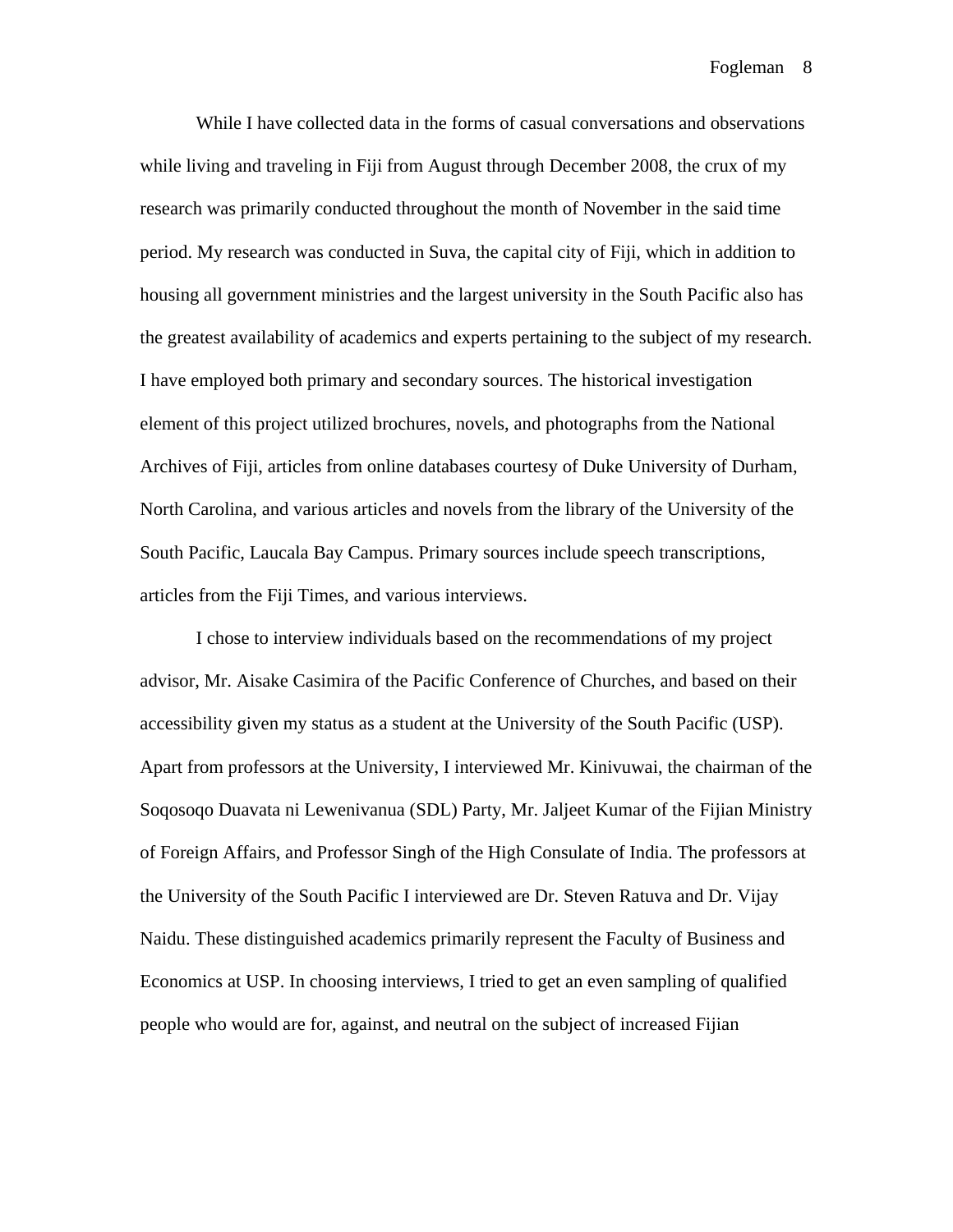While I have collected data in the forms of casual conversations and observations while living and traveling in Fiji from August through December 2008, the crux of my research was primarily conducted throughout the month of November in the said time period. My research was conducted in Suva, the capital city of Fiji, which in addition to housing all government ministries and the largest university in the South Pacific also has the greatest availability of academics and experts pertaining to the subject of my research. I have employed both primary and secondary sources. The historical investigation element of this project utilized brochures, novels, and photographs from the National Archives of Fiji, articles from online databases courtesy of Duke University of Durham, North Carolina, and various articles and novels from the library of the University of the South Pacific, Laucala Bay Campus. Primary sources include speech transcriptions, articles from the Fiji Times, and various interviews.

 I chose to interview individuals based on the recommendations of my project advisor, Mr. Aisake Casimira of the Pacific Conference of Churches, and based on their accessibility given my status as a student at the University of the South Pacific (USP). Apart from professors at the University, I interviewed Mr. Kinivuwai, the chairman of the Soqosoqo Duavata ni Lewenivanua (SDL) Party, Mr. Jaljeet Kumar of the Fijian Ministry of Foreign Affairs, and Professor Singh of the High Consulate of India. The professors at the University of the South Pacific I interviewed are Dr. Steven Ratuva and Dr. Vijay Naidu. These distinguished academics primarily represent the Faculty of Business and Economics at USP. In choosing interviews, I tried to get an even sampling of qualified people who would are for, against, and neutral on the subject of increased Fijian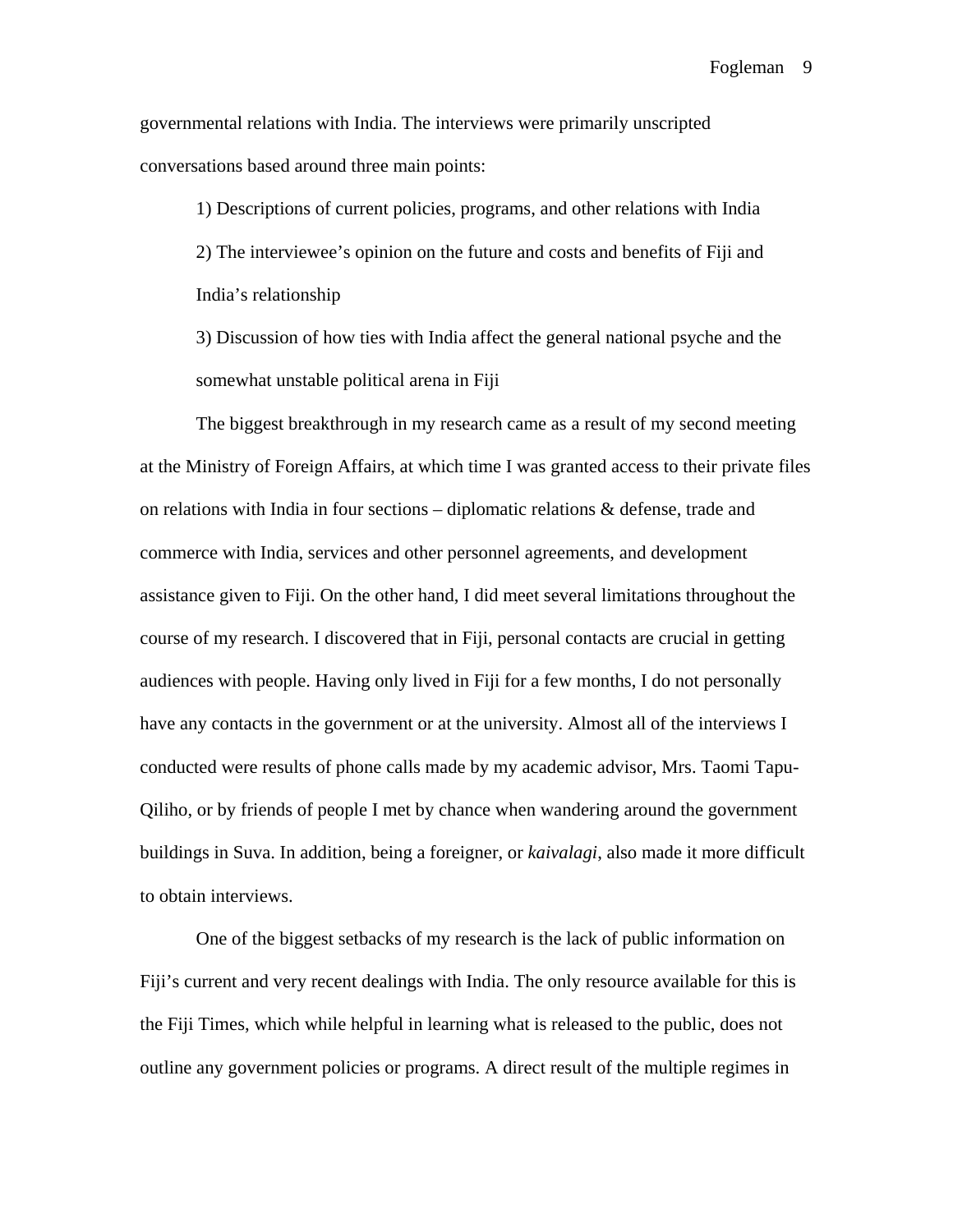governmental relations with India. The interviews were primarily unscripted conversations based around three main points:

 1) Descriptions of current policies, programs, and other relations with India 2) The interviewee's opinion on the future and costs and benefits of Fiji and India's relationship

 3) Discussion of how ties with India affect the general national psyche and the somewhat unstable political arena in Fiji

 The biggest breakthrough in my research came as a result of my second meeting at the Ministry of Foreign Affairs, at which time I was granted access to their private files on relations with India in four sections – diplomatic relations & defense, trade and commerce with India, services and other personnel agreements, and development assistance given to Fiji. On the other hand, I did meet several limitations throughout the course of my research. I discovered that in Fiji, personal contacts are crucial in getting audiences with people. Having only lived in Fiji for a few months, I do not personally have any contacts in the government or at the university. Almost all of the interviews I conducted were results of phone calls made by my academic advisor, Mrs. Taomi Tapu-Qiliho, or by friends of people I met by chance when wandering around the government buildings in Suva. In addition, being a foreigner, or *kaivalagi*, also made it more difficult to obtain interviews.

 One of the biggest setbacks of my research is the lack of public information on Fiji's current and very recent dealings with India. The only resource available for this is the Fiji Times, which while helpful in learning what is released to the public, does not outline any government policies or programs. A direct result of the multiple regimes in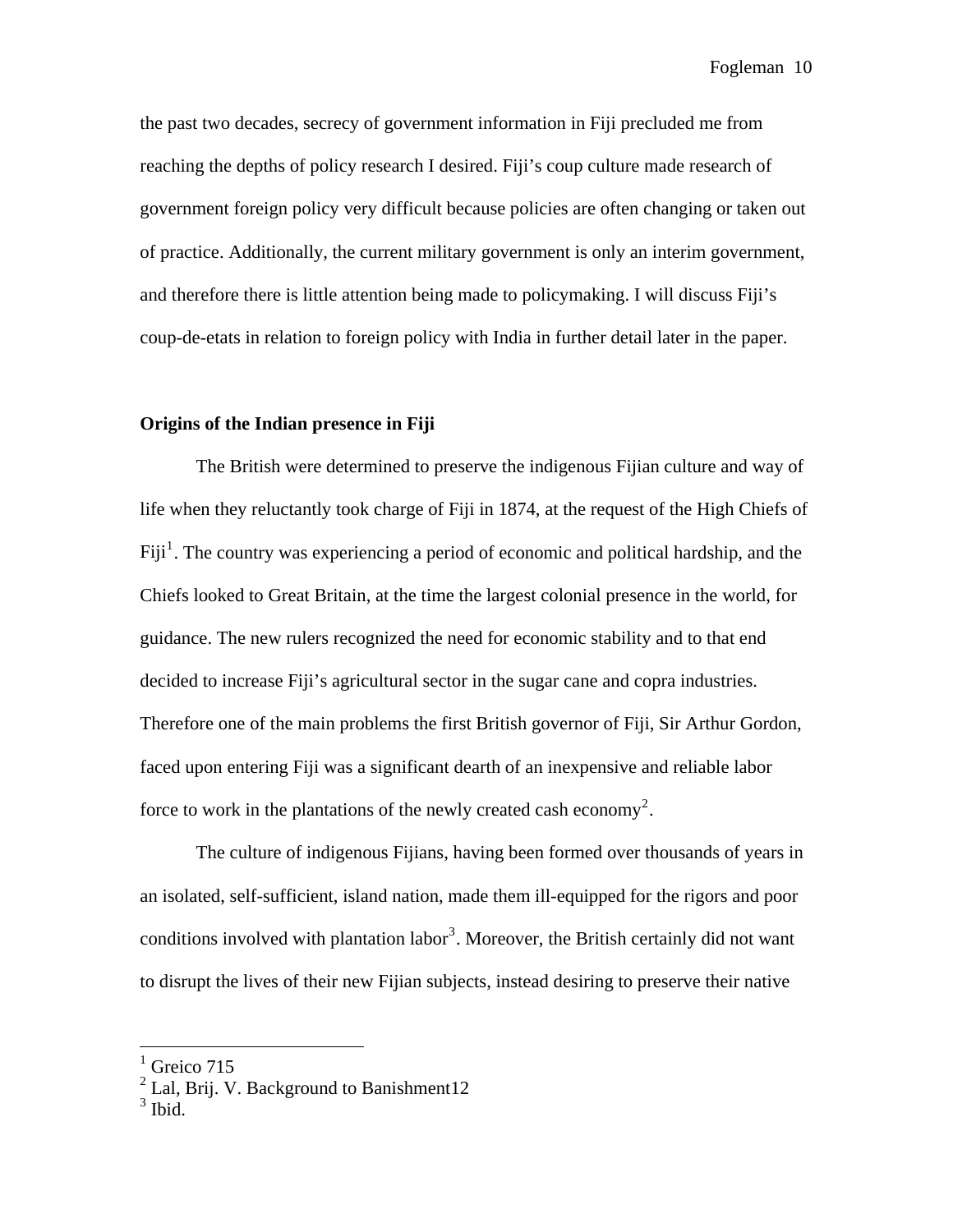the past two decades, secrecy of government information in Fiji precluded me from reaching the depths of policy research I desired. Fiji's coup culture made research of government foreign policy very difficult because policies are often changing or taken out of practice. Additionally, the current military government is only an interim government, and therefore there is little attention being made to policymaking. I will discuss Fiji's coup-de-etats in relation to foreign policy with India in further detail later in the paper.

#### **Origins of the Indian presence in Fiji**

 The British were determined to preserve the indigenous Fijian culture and way of life when they reluctantly took charge of Fiji in 1874, at the request of the High Chiefs of Fiji<sup>[1](#page-10-0)</sup>. The country was experiencing a period of economic and political hardship, and the Chiefs looked to Great Britain, at the time the largest colonial presence in the world, for guidance. The new rulers recognized the need for economic stability and to that end decided to increase Fiji's agricultural sector in the sugar cane and copra industries. Therefore one of the main problems the first British governor of Fiji, Sir Arthur Gordon, faced upon entering Fiji was a significant dearth of an inexpensive and reliable labor force to work in the plantations of the newly created cash economy<sup>[2](#page-10-1)</sup>.

 The culture of indigenous Fijians, having been formed over thousands of years in an isolated, self-sufficient, island nation, made them ill-equipped for the rigors and poor conditions involved with plantation labor<sup>[3](#page-10-2)</sup>. Moreover, the British certainly did not want to disrupt the lives of their new Fijian subjects, instead desiring to preserve their native

<span id="page-10-0"></span><sup>1</sup> Greico 715

<span id="page-10-1"></span> $2$  Lal, Brij. V. Background to Banishment12

<span id="page-10-2"></span> $3$  Ibid.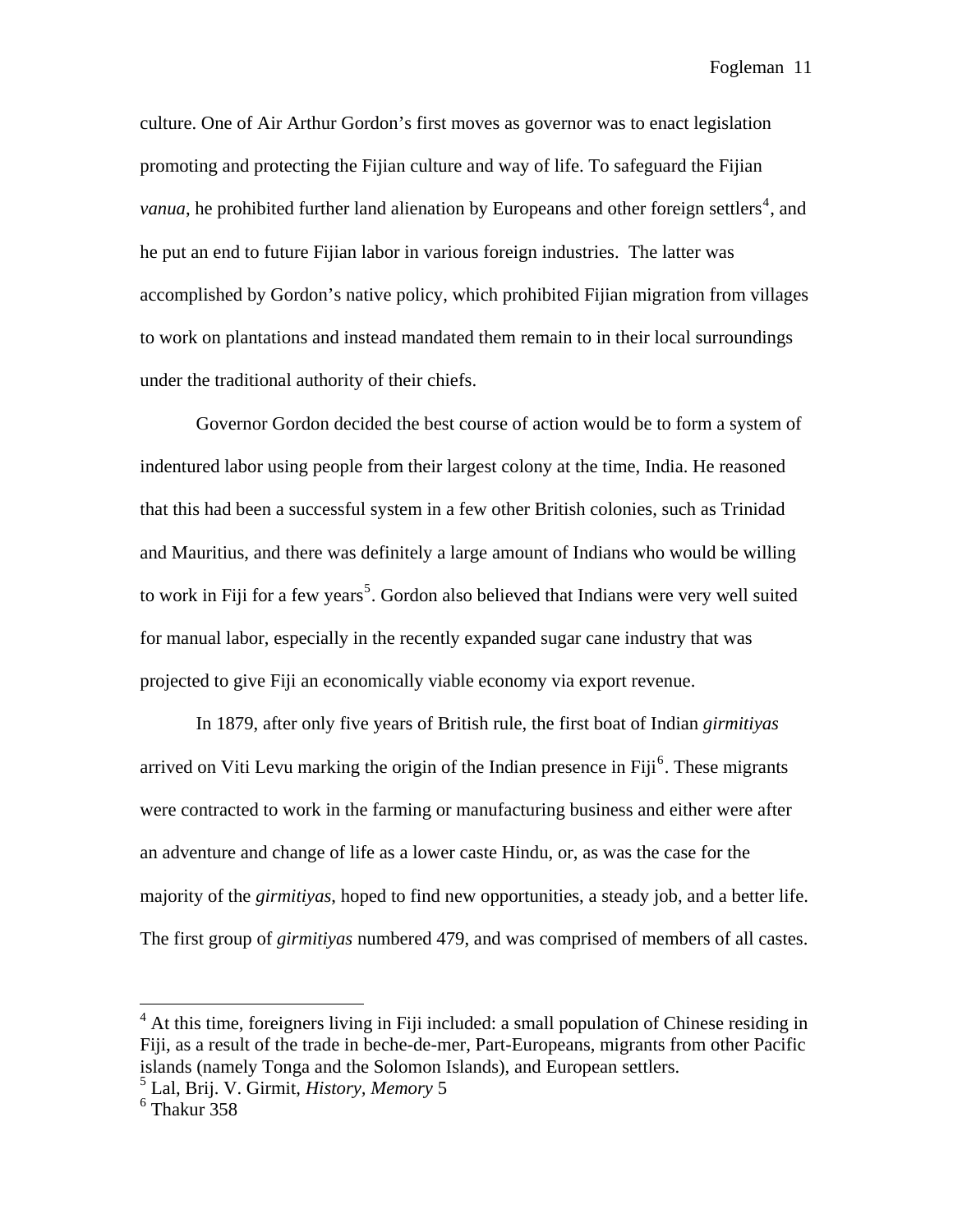culture. One of Air Arthur Gordon's first moves as governor was to enact legislation promoting and protecting the Fijian culture and way of life. To safeguard the Fijian *vanua*, he prohibited further land alienation by Europeans and other foreign settlers<sup>[4](#page-11-0)</sup>, and he put an end to future Fijian labor in various foreign industries. The latter was accomplished by Gordon's native policy, which prohibited Fijian migration from villages to work on plantations and instead mandated them remain to in their local surroundings under the traditional authority of their chiefs.

 Governor Gordon decided the best course of action would be to form a system of indentured labor using people from their largest colony at the time, India. He reasoned that this had been a successful system in a few other British colonies, such as Trinidad and Mauritius, and there was definitely a large amount of Indians who would be willing to work in Fiji for a few years<sup>[5](#page-11-1)</sup>. Gordon also believed that Indians were very well suited for manual labor, especially in the recently expanded sugar cane industry that was projected to give Fiji an economically viable economy via export revenue.

 In 1879, after only five years of British rule, the first boat of Indian *girmitiyas* arrived on Viti Levu marking the origin of the Indian presence in  $\text{Fiji}^6$  $\text{Fiji}^6$ . These migrants were contracted to work in the farming or manufacturing business and either were after an adventure and change of life as a lower caste Hindu, or, as was the case for the majority of the *girmitiyas*, hoped to find new opportunities, a steady job, and a better life. The first group of *girmitiyas* numbered 479, and was comprised of members of all castes.

<span id="page-11-0"></span><sup>&</sup>lt;sup>4</sup> At this time, foreigners living in Fiji included: a small population of Chinese residing in Fiji, as a result of the trade in beche-de-mer, Part-Europeans, migrants from other Pacific islands (namely Tonga and the Solomon Islands), and European settlers.

<span id="page-11-1"></span><sup>5</sup> Lal, Brij. V. Girmit, *History, Memory* 5

<span id="page-11-2"></span><sup>6</sup> Thakur 358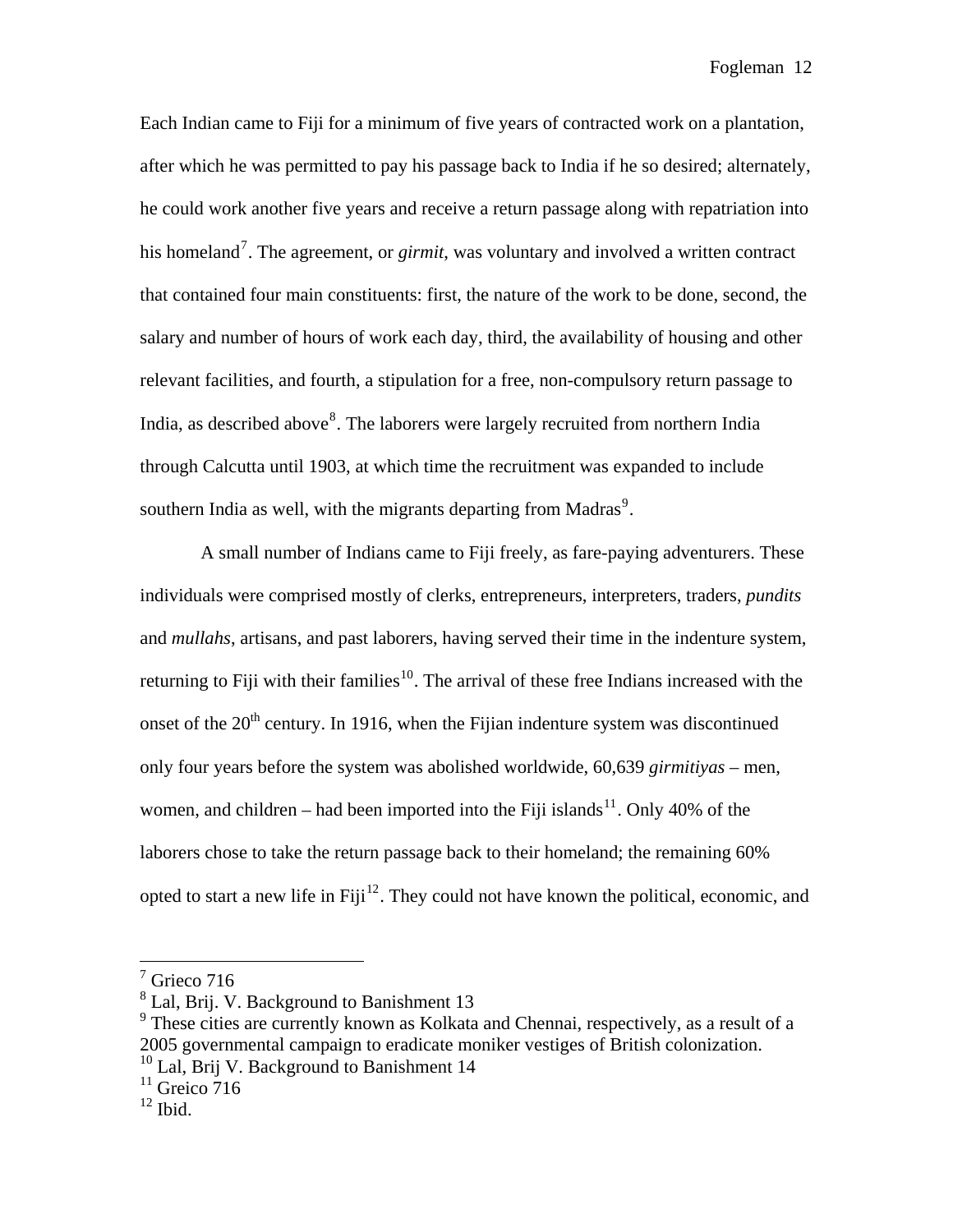Each Indian came to Fiji for a minimum of five years of contracted work on a plantation, after which he was permitted to pay his passage back to India if he so desired; alternately, he could work another five years and receive a return passage along with repatriation into his homeland<sup>[7](#page-12-0)</sup>. The agreement, or *girmit*, was voluntary and involved a written contract that contained four main constituents: first, the nature of the work to be done, second, the salary and number of hours of work each day, third, the availability of housing and other relevant facilities, and fourth, a stipulation for a free, non-compulsory return passage to India, as described above $8$ . The laborers were largely recruited from northern India through Calcutta until 1903, at which time the recruitment was expanded to include southern India as well, with the migrants departing from Madras<sup>[9](#page-12-2)</sup>.

 A small number of Indians came to Fiji freely, as fare-paying adventurers. These individuals were comprised mostly of clerks, entrepreneurs, interpreters, traders, *pundits* and *mullahs*, artisans, and past laborers, having served their time in the indenture system, returning to Fiji with their families<sup>[10](#page-12-3)</sup>. The arrival of these free Indians increased with the onset of the  $20<sup>th</sup>$  century. In 1916, when the Fijian indenture system was discontinued only four years before the system was abolished worldwide, 60,639 *girmitiyas* – men, women, and children – had been imported into the Fiji islands<sup>[11](#page-12-4)</sup>. Only 40% of the laborers chose to take the return passage back to their homeland; the remaining 60% opted to start a new life in Fiji<sup>[12](#page-12-5)</sup>. They could not have known the political, economic, and

<span id="page-12-0"></span> $7$  Grieco 716

<span id="page-12-1"></span><sup>&</sup>lt;sup>8</sup> Lal, Brij. V. Background to Banishment 13

<span id="page-12-2"></span><sup>&</sup>lt;sup>9</sup> These cities are currently known as Kolkata and Chennai, respectively, as a result of a 2005 governmental campaign to eradicate moniker vestiges of British colonization.

<span id="page-12-3"></span><sup>&</sup>lt;sup>10</sup> Lal, Brij V. Background to Banishment 14

<span id="page-12-4"></span> $11$  Greico 716

<span id="page-12-5"></span> $12$  Ibid.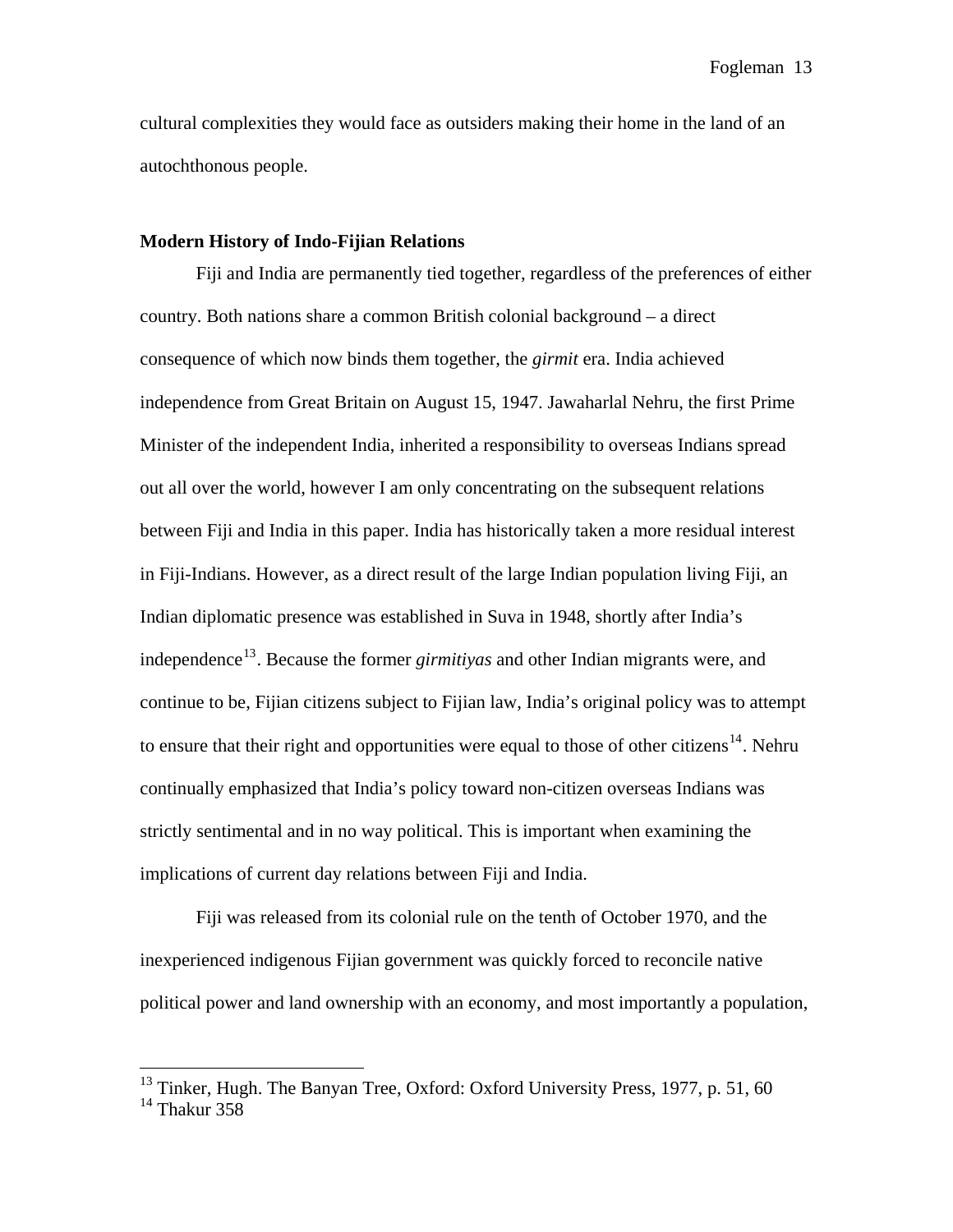cultural complexities they would face as outsiders making their home in the land of an autochthonous people.

#### **Modern History of Indo-Fijian Relations**

 Fiji and India are permanently tied together, regardless of the preferences of either country. Both nations share a common British colonial background – a direct consequence of which now binds them together, the *girmit* era. India achieved independence from Great Britain on August 15, 1947. Jawaharlal Nehru, the first Prime Minister of the independent India, inherited a responsibility to overseas Indians spread out all over the world, however I am only concentrating on the subsequent relations between Fiji and India in this paper. India has historically taken a more residual interest in Fiji-Indians. However, as a direct result of the large Indian population living Fiji, an Indian diplomatic presence was established in Suva in 1948, shortly after India's independence<sup>[13](#page-13-0)</sup>. Because the former *girmitiyas* and other Indian migrants were, and continue to be, Fijian citizens subject to Fijian law, India's original policy was to attempt to ensure that their right and opportunities were equal to those of other citizens<sup>[14](#page-13-1)</sup>. Nehru continually emphasized that India's policy toward non-citizen overseas Indians was strictly sentimental and in no way political. This is important when examining the implications of current day relations between Fiji and India.

 Fiji was released from its colonial rule on the tenth of October 1970, and the inexperienced indigenous Fijian government was quickly forced to reconcile native political power and land ownership with an economy, and most importantly a population,

<span id="page-13-1"></span><span id="page-13-0"></span> $13$  Tinker, Hugh. The Banyan Tree, Oxford: Oxford University Press, 1977, p. 51, 60  $14$  Thakur 358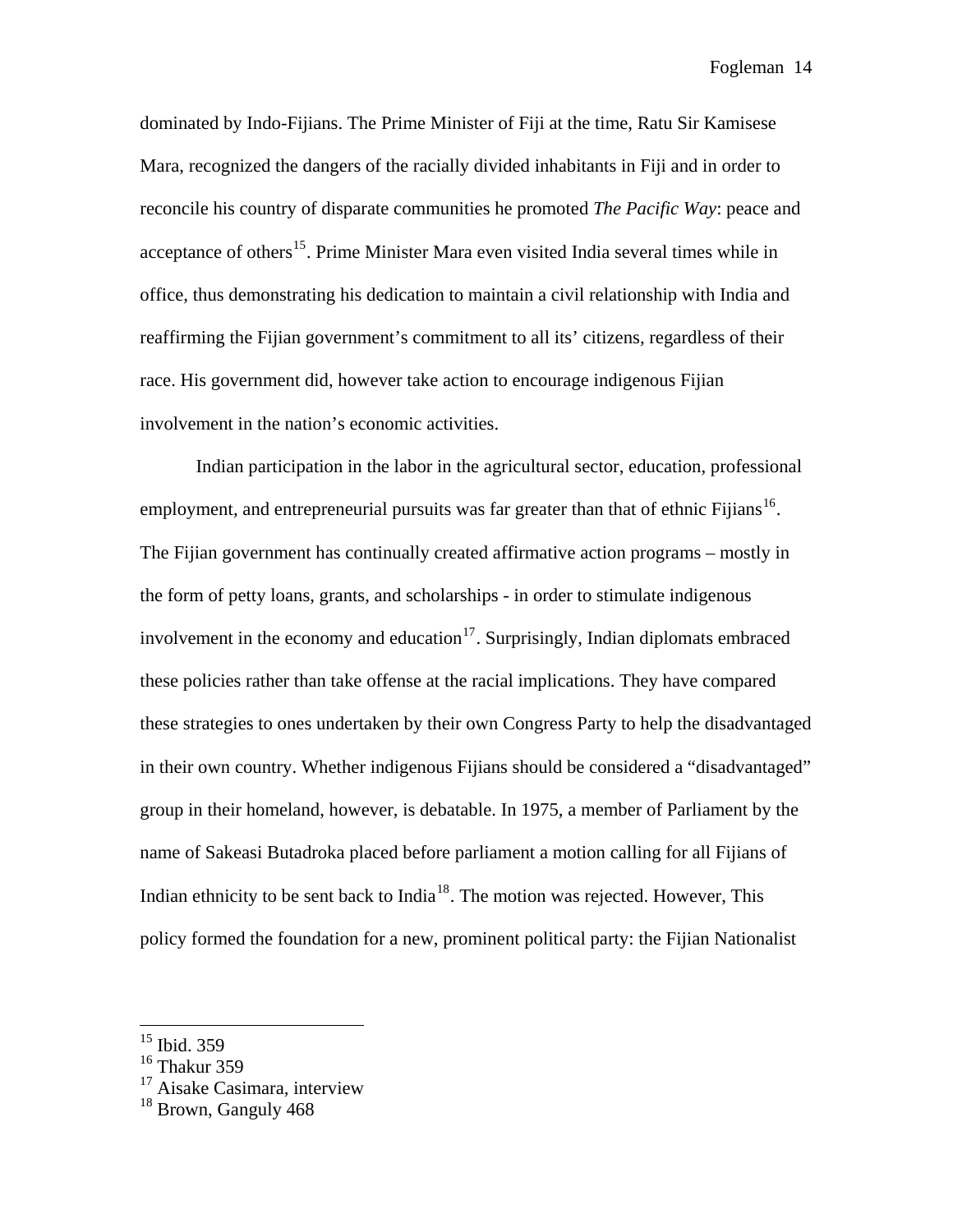dominated by Indo-Fijians. The Prime Minister of Fiji at the time, Ratu Sir Kamisese Mara, recognized the dangers of the racially divided inhabitants in Fiji and in order to reconcile his country of disparate communities he promoted *The Pacific Way*: peace and acceptance of others<sup>15</sup>. Prime Minister Mara even visited India several times while in office, thus demonstrating his dedication to maintain a civil relationship with India and reaffirming the Fijian government's commitment to all its' citizens, regardless of their race. His government did, however take action to encourage indigenous Fijian involvement in the nation's economic activities.

 Indian participation in the labor in the agricultural sector, education, professional employment, and entrepreneurial pursuits was far greater than that of ethnic Fijians<sup>[16](#page-14-1)</sup>. The Fijian government has continually created affirmative action programs – mostly in the form of petty loans, grants, and scholarships - in order to stimulate indigenous involvement in the economy and education<sup>[17](#page-14-2)</sup>. Surprisingly, Indian diplomats embraced these policies rather than take offense at the racial implications. They have compared these strategies to ones undertaken by their own Congress Party to help the disadvantaged in their own country. Whether indigenous Fijians should be considered a "disadvantaged" group in their homeland, however, is debatable. In 1975, a member of Parliament by the name of Sakeasi Butadroka placed before parliament a motion calling for all Fijians of Indian ethnicity to be sent back to India<sup>[18](#page-14-3)</sup>. The motion was rejected. However, This policy formed the foundation for a new, prominent political party: the Fijian Nationalist

<span id="page-14-0"></span><sup>&</sup>lt;sup>15</sup> Ibid. 359

<span id="page-14-1"></span> $^{16}$  Thakur 359  $\,$ 

<span id="page-14-2"></span><sup>&</sup>lt;sup>17</sup> Aisake Casimara, interview

<span id="page-14-3"></span><sup>&</sup>lt;sup>18</sup> Brown, Ganguly 468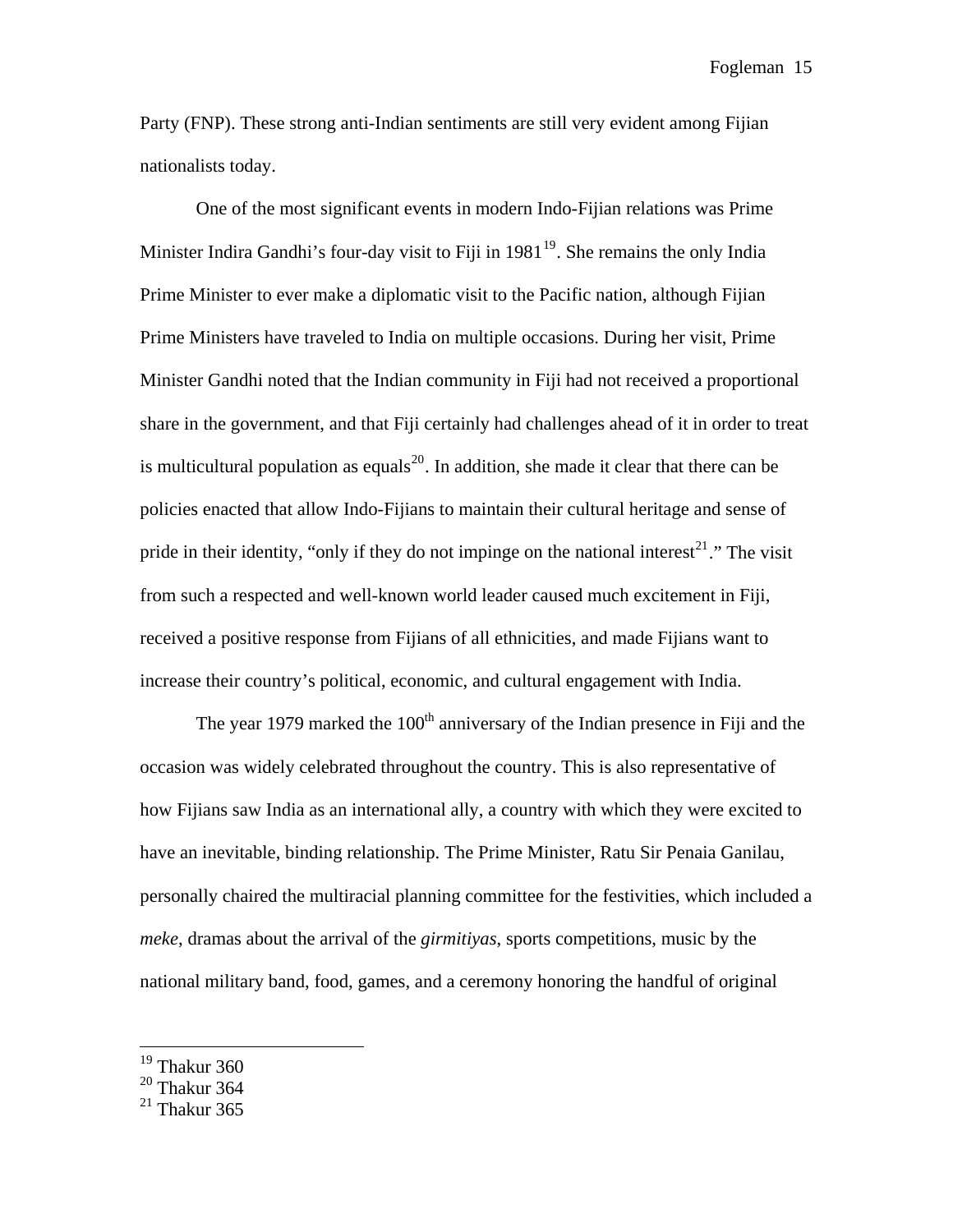Party (FNP). These strong anti-Indian sentiments are still very evident among Fijian nationalists today.

 One of the most significant events in modern Indo-Fijian relations was Prime Minister Indira Gandhi's four-day visit to Fiji in  $1981<sup>19</sup>$  $1981<sup>19</sup>$ . She remains the only India Prime Minister to ever make a diplomatic visit to the Pacific nation, although Fijian Prime Ministers have traveled to India on multiple occasions. During her visit, Prime Minister Gandhi noted that the Indian community in Fiji had not received a proportional share in the government, and that Fiji certainly had challenges ahead of it in order to treat is multicultural population as equals<sup>[20](#page-15-1)</sup>. In addition, she made it clear that there can be policies enacted that allow Indo-Fijians to maintain their cultural heritage and sense of pride in their identity, "only if they do not impinge on the national interest<sup>[21](#page-15-2)</sup>." The visit from such a respected and well-known world leader caused much excitement in Fiji, received a positive response from Fijians of all ethnicities, and made Fijians want to increase their country's political, economic, and cultural engagement with India.

The year 1979 marked the  $100<sup>th</sup>$  anniversary of the Indian presence in Fiji and the occasion was widely celebrated throughout the country. This is also representative of how Fijians saw India as an international ally, a country with which they were excited to have an inevitable, binding relationship. The Prime Minister, Ratu Sir Penaia Ganilau, personally chaired the multiracial planning committee for the festivities, which included a *meke*, dramas about the arrival of the *girmitiyas*, sports competitions, music by the national military band, food, games, and a ceremony honoring the handful of original

 $19$  Thakur 360

<span id="page-15-1"></span><span id="page-15-0"></span> $20$  Thakur 364

<span id="page-15-2"></span> $21$  Thakur 365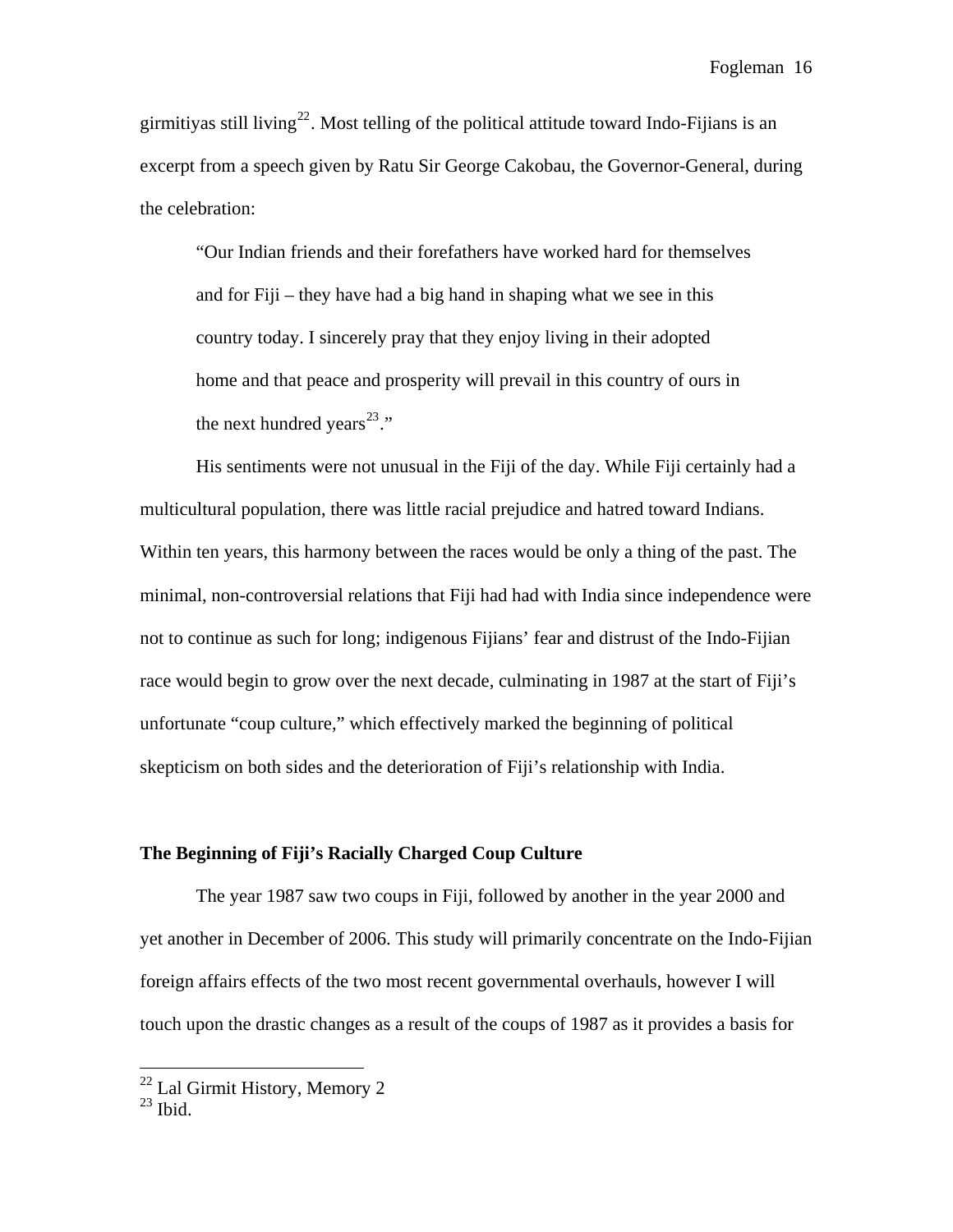girmitiyas still living<sup>[22](#page-16-0)</sup>. Most telling of the political attitude toward Indo-Fijians is an excerpt from a speech given by Ratu Sir George Cakobau, the Governor-General, during the celebration:

"Our Indian friends and their forefathers have worked hard for themselves and for Fiji – they have had a big hand in shaping what we see in this country today. I sincerely pray that they enjoy living in their adopted home and that peace and prosperity will prevail in this country of ours in the next hundred years<sup>[23](#page-16-1)</sup>."

 His sentiments were not unusual in the Fiji of the day. While Fiji certainly had a multicultural population, there was little racial prejudice and hatred toward Indians. Within ten years, this harmony between the races would be only a thing of the past. The minimal, non-controversial relations that Fiji had had with India since independence were not to continue as such for long; indigenous Fijians' fear and distrust of the Indo-Fijian race would begin to grow over the next decade, culminating in 1987 at the start of Fiji's unfortunate "coup culture," which effectively marked the beginning of political skepticism on both sides and the deterioration of Fiji's relationship with India.

#### **The Beginning of Fiji's Racially Charged Coup Culture**

 The year 1987 saw two coups in Fiji, followed by another in the year 2000 and yet another in December of 2006. This study will primarily concentrate on the Indo-Fijian foreign affairs effects of the two most recent governmental overhauls, however I will touch upon the drastic changes as a result of the coups of 1987 as it provides a basis for

<span id="page-16-0"></span> $22$  Lal Girmit History, Memory 2

<span id="page-16-1"></span> $23$  Ibid.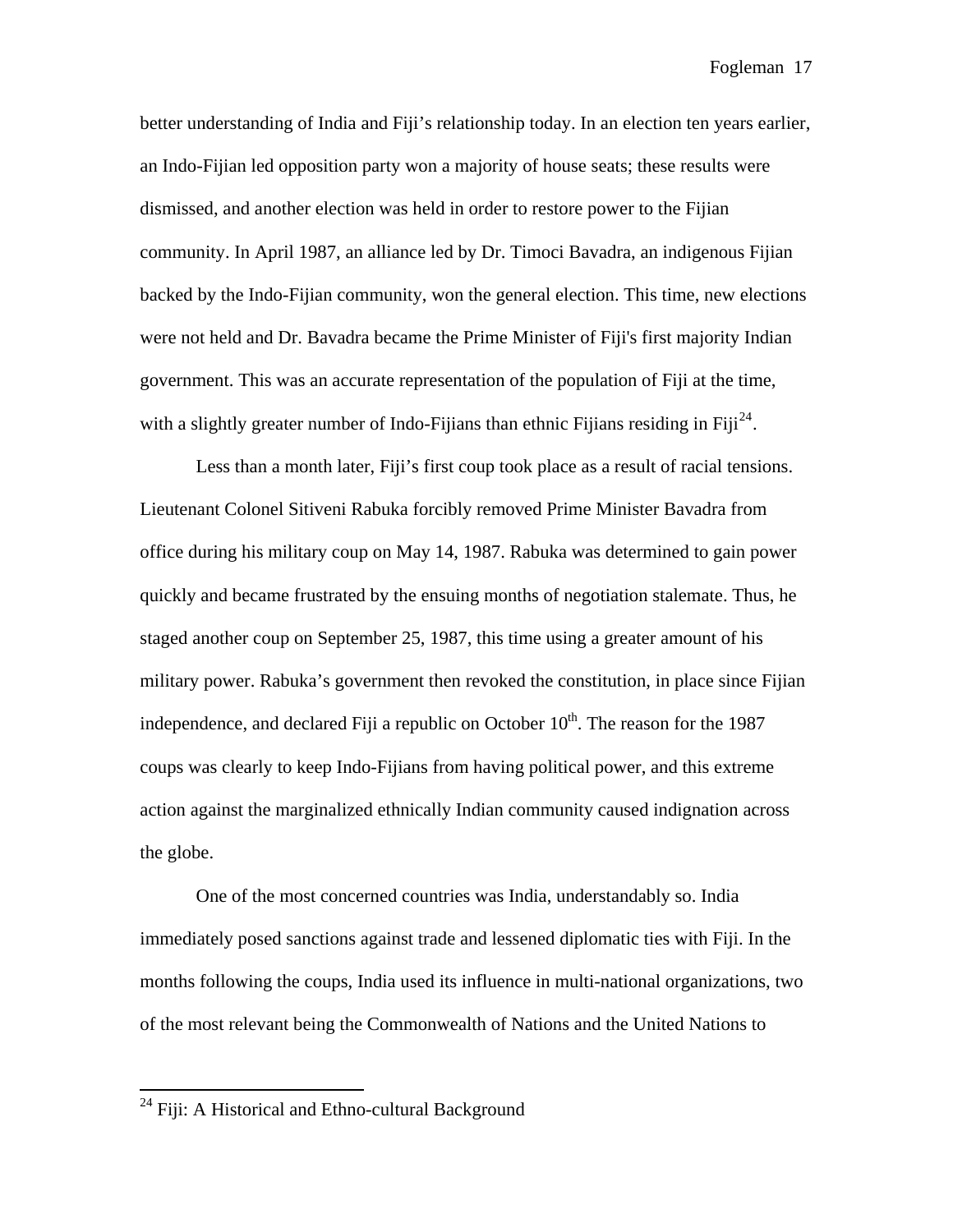better understanding of India and Fiji's relationship today. In an election ten years earlier, an Indo-Fijian led opposition party won a majority of house seats; these results were dismissed, and another election was held in order to restore power to the Fijian community. In April 1987, an alliance led by Dr. Timoci Bavadra, an indigenous Fijian backed by the Indo-Fijian community, won the general election. This time, new elections were not held and Dr. Bavadra became the Prime Minister of Fiji's first majority Indian government. This was an accurate representation of the population of Fiji at the time, with a slightly greater number of Indo-Fijians than ethnic Fijians residing in Fiji<sup>[24](#page-17-0)</sup>.

 Less than a month later, Fiji's first coup took place as a result of racial tensions. Lieutenant Colonel Sitiveni Rabuka forcibly removed Prime Minister Bavadra from office during his military coup on May 14, 1987. Rabuka was determined to gain power quickly and became frustrated by the ensuing months of negotiation stalemate. Thus, he staged another coup on September 25, 1987, this time using a greater amount of his military power. Rabuka's government then revoked the constitution, in place since Fijian independence, and declared Fiji a republic on October  $10^{th}$ . The reason for the 1987 coups was clearly to keep Indo-Fijians from having political power, and this extreme action against the marginalized ethnically Indian community caused indignation across the globe.

 One of the most concerned countries was India, understandably so. India immediately posed sanctions against trade and lessened diplomatic ties with Fiji. In the months following the coups, India used its influence in multi-national organizations, two of the most relevant being the Commonwealth of Nations and the United Nations to

<span id="page-17-0"></span> $24$  Fiji: A Historical and Ethno-cultural Background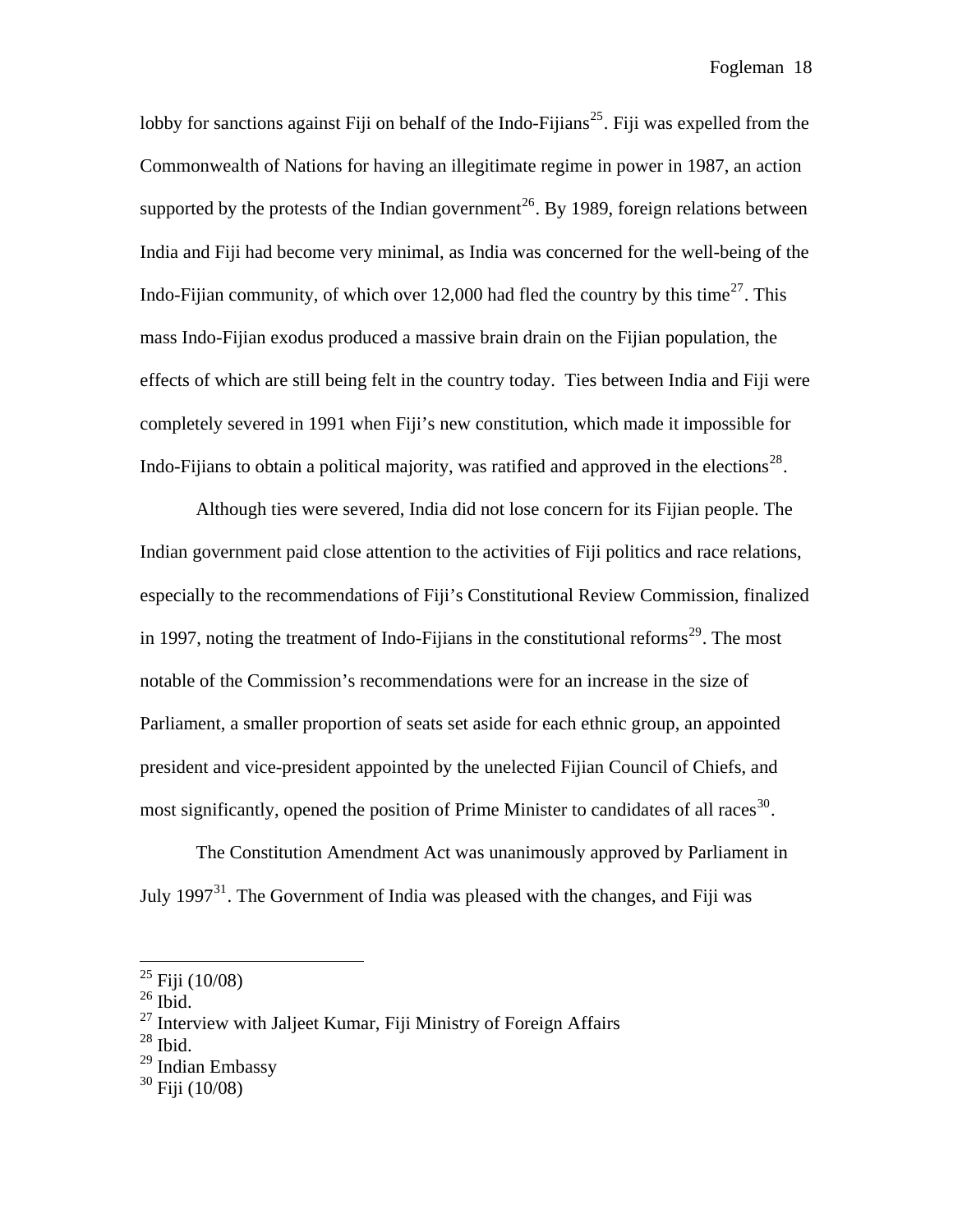lobby for sanctions against Fiji on behalf of the Indo-Fijians<sup>[25](#page-18-0)</sup>. Fiji was expelled from the Commonwealth of Nations for having an illegitimate regime in power in 1987, an action supported by the protests of the Indian government<sup>[26](#page-18-1)</sup>. By 1989, foreign relations between India and Fiji had become very minimal, as India was concerned for the well-being of the Indo-Fijian community, of which over 12,000 had fled the country by this time<sup>[27](#page-18-2)</sup>. This mass Indo-Fijian exodus produced a massive brain drain on the Fijian population, the effects of which are still being felt in the country today. Ties between India and Fiji were completely severed in 1991 when Fiji's new constitution, which made it impossible for Indo-Fijians to obtain a political majority, was ratified and approved in the elections<sup>[28](#page-18-3)</sup>.

 Although ties were severed, India did not lose concern for its Fijian people. The Indian government paid close attention to the activities of Fiji politics and race relations, especially to the recommendations of Fiji's Constitutional Review Commission, finalized in 1997, noting the treatment of Indo-Fijians in the constitutional reforms<sup>[29](#page-18-4)</sup>. The most notable of the Commission's recommendations were for an increase in the size of Parliament, a smaller proportion of seats set aside for each ethnic group, an appointed president and vice-president appointed by the unelected Fijian Council of Chiefs, and most significantly, opened the position of Prime Minister to candidates of all races<sup>[30](#page-18-5)</sup>.

 The Constitution Amendment Act was unanimously approved by Parliament in July 1997<sup>[31](#page-18-6)</sup>. The Government of India was pleased with the changes, and Fiji was

<span id="page-18-1"></span><span id="page-18-0"></span> $26$  Ibid.

 $\overline{a}$ 

<span id="page-18-3"></span> $28$  Ibid.

 $^{25}$  Fiji (10/08)

<span id="page-18-2"></span><sup>&</sup>lt;sup>27</sup> Interview with Jaljeet Kumar, Fiji Ministry of Foreign Affairs

<span id="page-18-4"></span><sup>29</sup> Indian Embassy

<span id="page-18-6"></span><span id="page-18-5"></span> $30$  Fiii (10/08)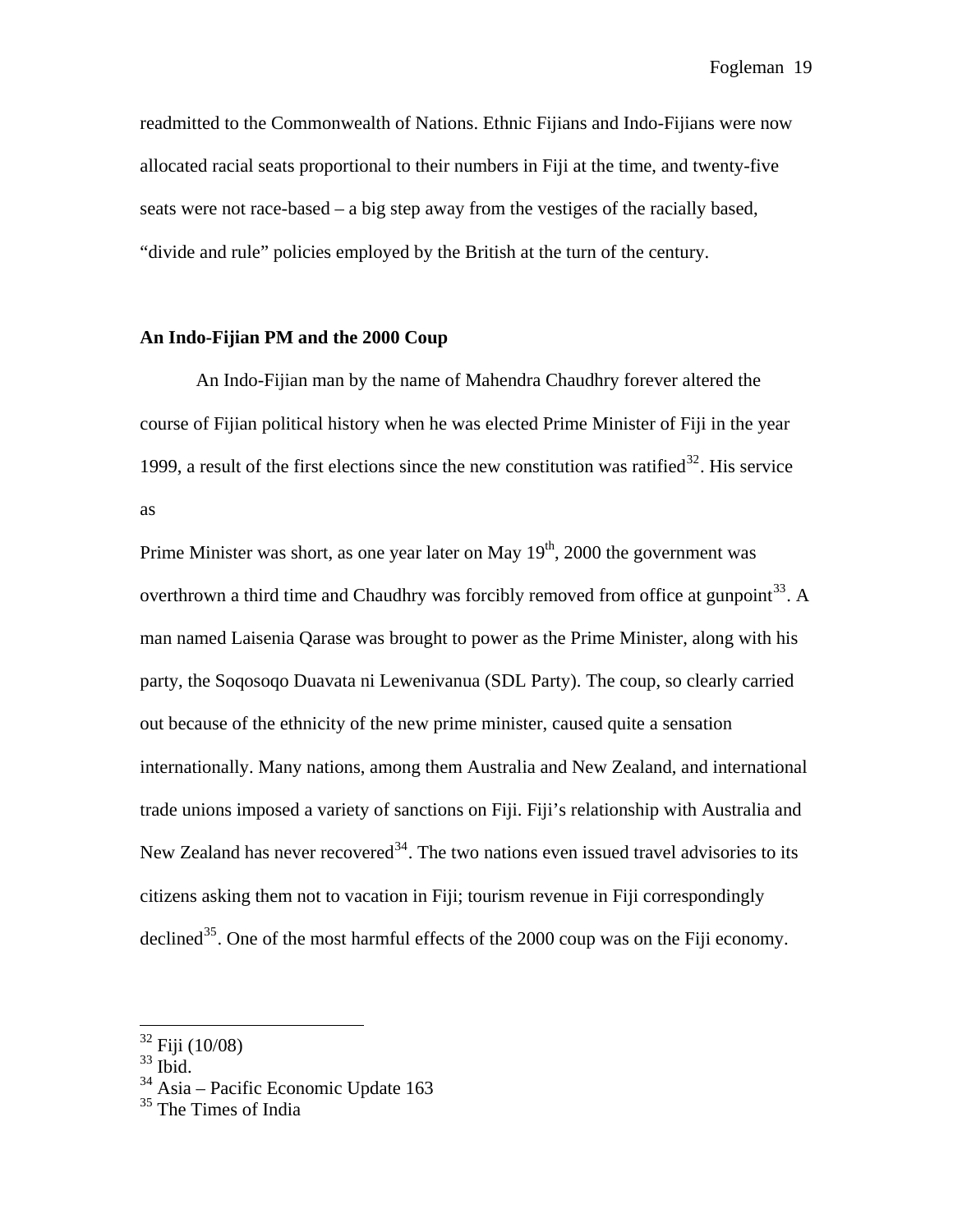readmitted to the Commonwealth of Nations. Ethnic Fijians and Indo-Fijians were now allocated racial seats proportional to their numbers in Fiji at the time, and twenty-five seats were not race-based – a big step away from the vestiges of the racially based, "divide and rule" policies employed by the British at the turn of the century.

#### **An Indo-Fijian PM and the 2000 Coup**

 An Indo-Fijian man by the name of Mahendra Chaudhry forever altered the course of Fijian political history when he was elected Prime Minister of Fiji in the year 1999, a result of the first elections since the new constitution was ratified<sup>[32](#page-19-0)</sup>. His service as

Prime Minister was short, as one year later on May  $19<sup>th</sup>$ , 2000 the government was overthrown a third time and Chaudhry was forcibly removed from office at gunpoint<sup>[33](#page-19-1)</sup>. A man named Laisenia Qarase was brought to power as the Prime Minister, along with his party, the Soqosoqo Duavata ni Lewenivanua (SDL Party). The coup, so clearly carried out because of the ethnicity of the new prime minister, caused quite a sensation internationally. Many nations, among them Australia and New Zealand, and international trade unions imposed a variety of sanctions on Fiji. Fiji's relationship with Australia and New Zealand has never recovered<sup>[34](#page-19-2)</sup>. The two nations even issued travel advisories to its citizens asking them not to vacation in Fiji; tourism revenue in Fiji correspondingly declined<sup>[35](#page-19-3)</sup>. One of the most harmful effects of the 2000 coup was on the Fiji economy.

<span id="page-19-1"></span> $33$  Ibid.

<span id="page-19-0"></span> $32$  Fiji (10/08)

<span id="page-19-2"></span> $34$  Asia – Pacific Economic Update 163

<span id="page-19-3"></span><sup>&</sup>lt;sup>35</sup> The Times of India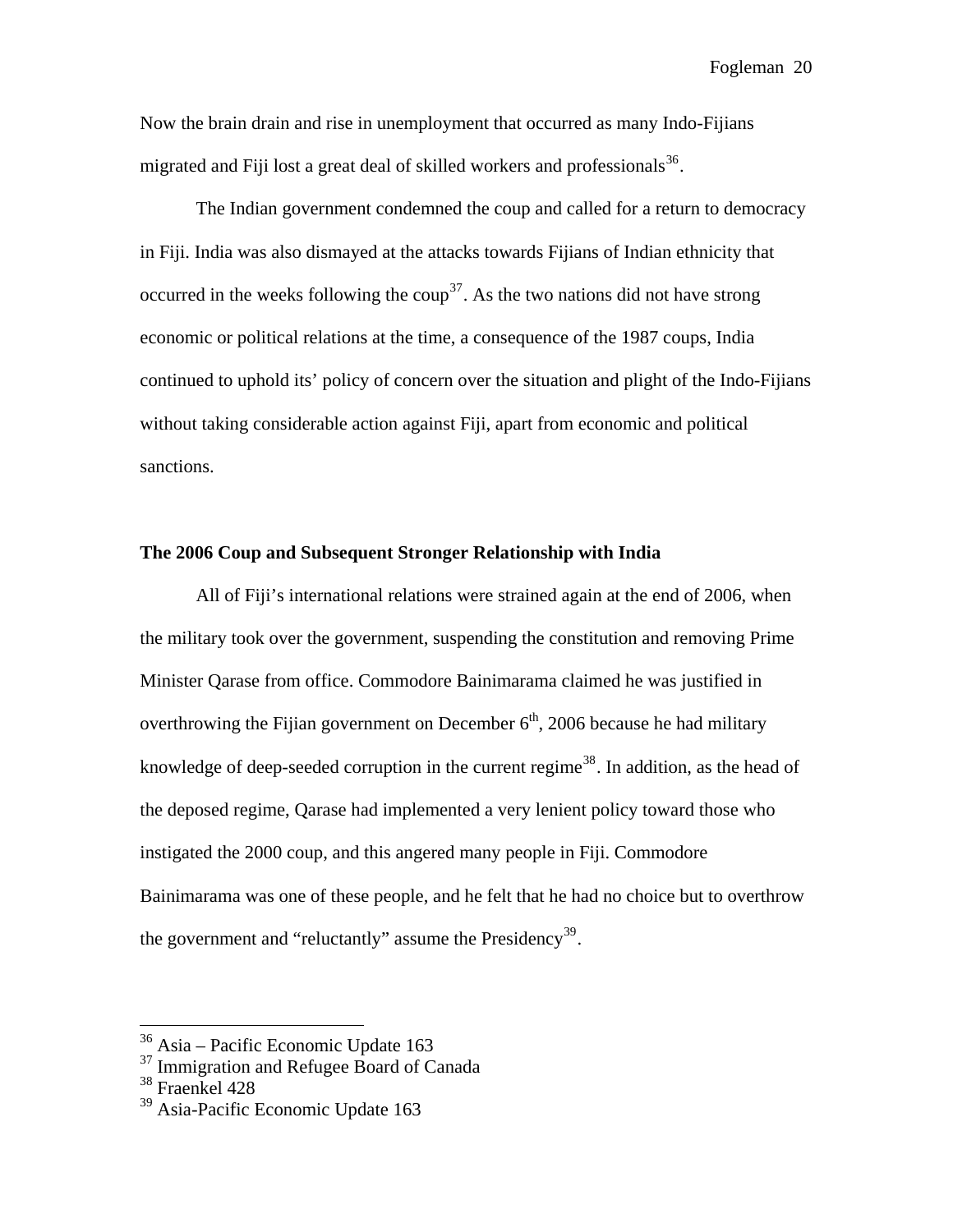Now the brain drain and rise in unemployment that occurred as many Indo-Fijians migrated and Fiji lost a great deal of skilled workers and professionals  $36$ .

 The Indian government condemned the coup and called for a return to democracy in Fiji. India was also dismayed at the attacks towards Fijians of Indian ethnicity that occurred in the weeks following the coup<sup>[37](#page-20-1)</sup>. As the two nations did not have strong economic or political relations at the time, a consequence of the 1987 coups, India continued to uphold its' policy of concern over the situation and plight of the Indo-Fijians without taking considerable action against Fiji, apart from economic and political sanctions.

### **The 2006 Coup and Subsequent Stronger Relationship with India**

 All of Fiji's international relations were strained again at the end of 2006, when the military took over the government, suspending the constitution and removing Prime Minister Qarase from office. Commodore Bainimarama claimed he was justified in overthrowing the Fijian government on December  $6<sup>th</sup>$ , 2006 because he had military knowledge of deep-seeded corruption in the current regime<sup>[38](#page-20-2)</sup>. In addition, as the head of the deposed regime, Qarase had implemented a very lenient policy toward those who instigated the 2000 coup, and this angered many people in Fiji. Commodore Bainimarama was one of these people, and he felt that he had no choice but to overthrow the government and "reluctantly" assume the Presidency<sup>[39](#page-20-3)</sup>.

<sup>&</sup>lt;sup>36</sup> Asia – Pacific Economic Update 163

<span id="page-20-1"></span><span id="page-20-0"></span><sup>&</sup>lt;sup>37</sup> Immigration and Refugee Board of Canada

<span id="page-20-2"></span><sup>38</sup> Fraenkel 428

<span id="page-20-3"></span><sup>39</sup> Asia-Pacific Economic Update 163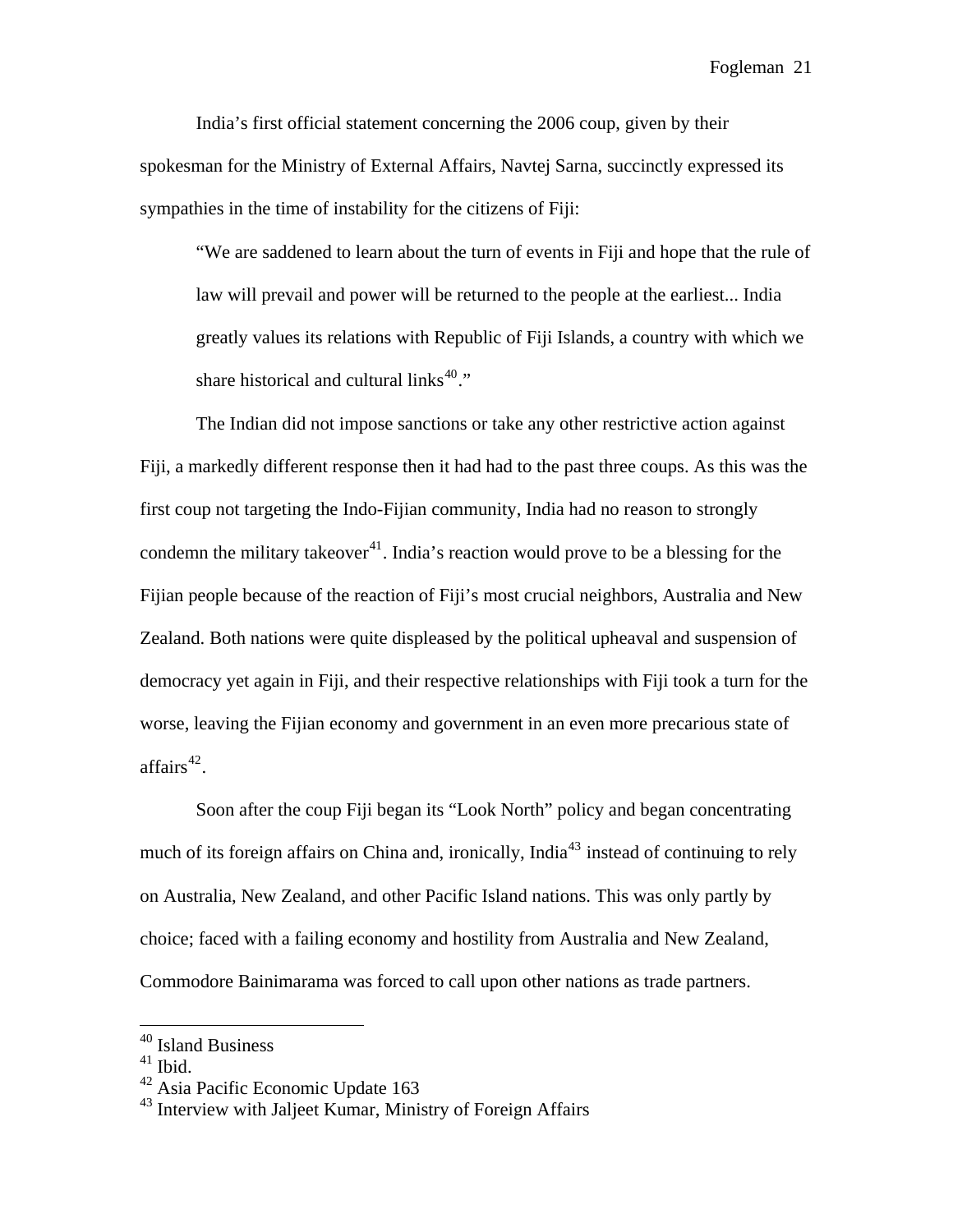India's first official statement concerning the 2006 coup, given by their spokesman for the Ministry of External Affairs, Navtej Sarna, succinctly expressed its sympathies in the time of instability for the citizens of Fiji:

 "We are saddened to learn about the turn of events in Fiji and hope that the rule of law will prevail and power will be returned to the people at the earliest... India greatly values its relations with Republic of Fiji Islands, a country with which we share historical and cultural links<sup>[40](#page-21-0)</sup>."

 The Indian did not impose sanctions or take any other restrictive action against Fiji, a markedly different response then it had had to the past three coups. As this was the first coup not targeting the Indo-Fijian community, India had no reason to strongly condemn the military takeover $41$ . India's reaction would prove to be a blessing for the Fijian people because of the reaction of Fiji's most crucial neighbors, Australia and New Zealand. Both nations were quite displeased by the political upheaval and suspension of democracy yet again in Fiji, and their respective relationships with Fiji took a turn for the worse, leaving the Fijian economy and government in an even more precarious state of  $affairs^{42}$  $affairs^{42}$  $affairs^{42}$ .

 Soon after the coup Fiji began its "Look North" policy and began concentrating much of its foreign affairs on China and, ironically, India<sup>[43](#page-21-3)</sup> instead of continuing to rely on Australia, New Zealand, and other Pacific Island nations. This was only partly by choice; faced with a failing economy and hostility from Australia and New Zealand, Commodore Bainimarama was forced to call upon other nations as trade partners.

<sup>40</sup> Island Business

<span id="page-21-1"></span><span id="page-21-0"></span> $41$  Ibid.

<span id="page-21-2"></span><sup>42</sup> Asia Pacific Economic Update 163

<span id="page-21-3"></span> $43$  Interview with Jaljeet Kumar, Ministry of Foreign Affairs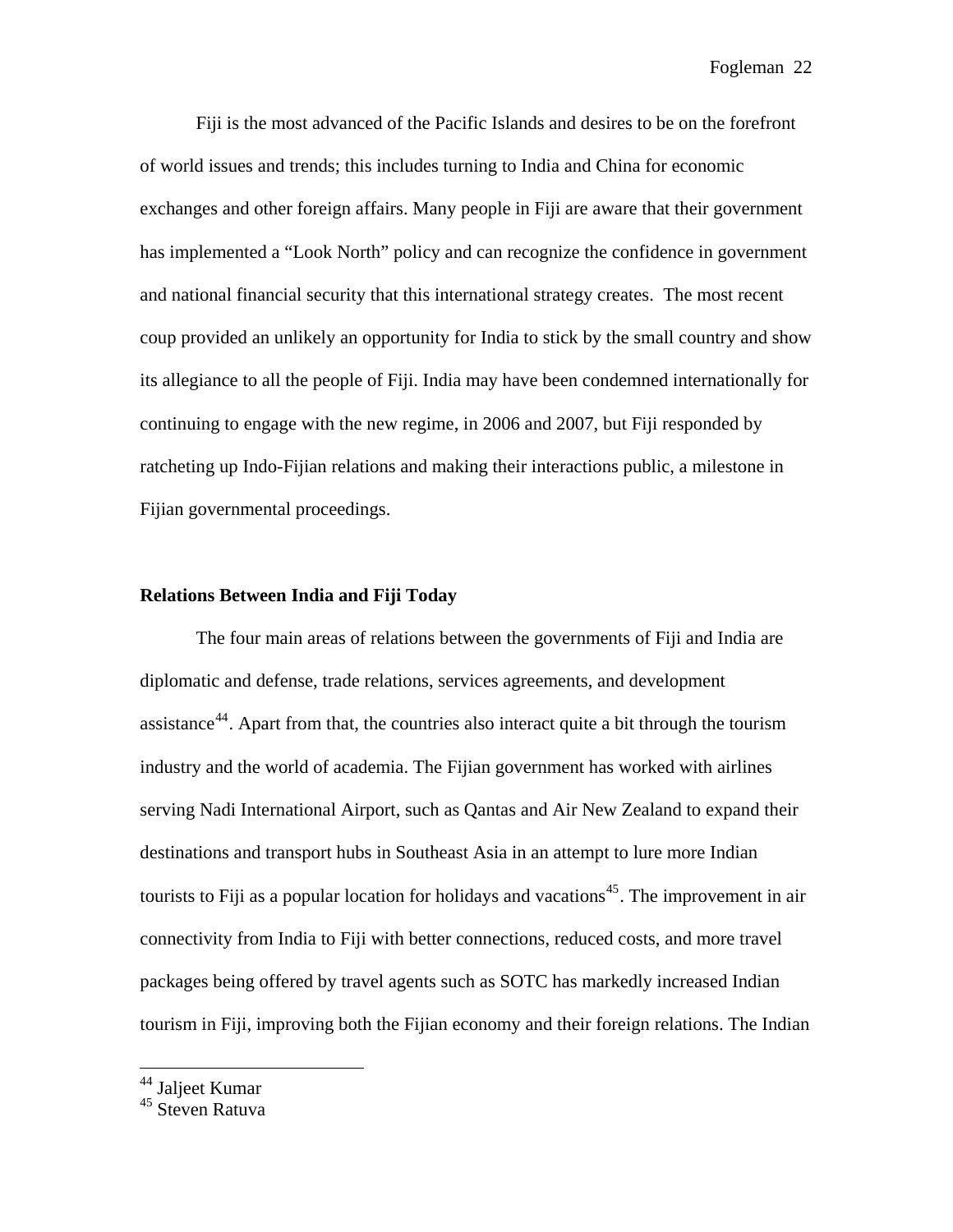Fiji is the most advanced of the Pacific Islands and desires to be on the forefront of world issues and trends; this includes turning to India and China for economic exchanges and other foreign affairs. Many people in Fiji are aware that their government has implemented a "Look North" policy and can recognize the confidence in government and national financial security that this international strategy creates. The most recent coup provided an unlikely an opportunity for India to stick by the small country and show its allegiance to all the people of Fiji. India may have been condemned internationally for continuing to engage with the new regime, in 2006 and 2007, but Fiji responded by ratcheting up Indo-Fijian relations and making their interactions public, a milestone in Fijian governmental proceedings.

#### **Relations Between India and Fiji Today**

The four main areas of relations between the governments of Fiji and India are diplomatic and defense, trade relations, services agreements, and development assistance<sup>[44](#page-22-0)</sup>. Apart from that, the countries also interact quite a bit through the tourism industry and the world of academia. The Fijian government has worked with airlines serving Nadi International Airport, such as Qantas and Air New Zealand to expand their destinations and transport hubs in Southeast Asia in an attempt to lure more Indian tourists to Fiji as a popular location for holidays and vacations<sup>[45](#page-22-1)</sup>. The improvement in air connectivity from India to Fiji with better connections, reduced costs, and more travel packages being offered by travel agents such as SOTC has markedly increased Indian tourism in Fiji, improving both the Fijian economy and their foreign relations. The Indian

<sup>&</sup>lt;sup>44</sup> Jaljeet Kumar

<span id="page-22-1"></span><span id="page-22-0"></span><sup>&</sup>lt;sup>45</sup> Steven Ratuva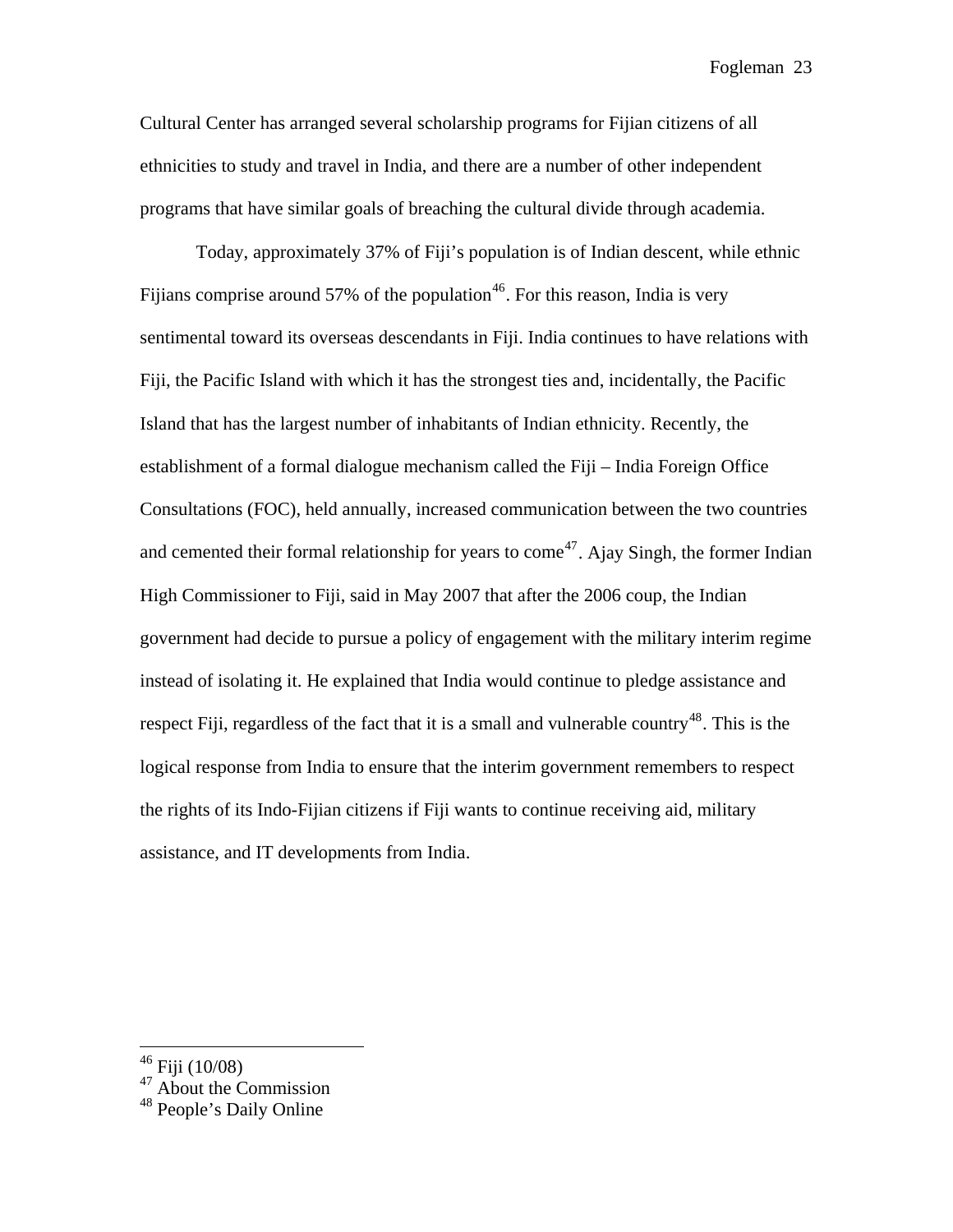Cultural Center has arranged several scholarship programs for Fijian citizens of all ethnicities to study and travel in India, and there are a number of other independent programs that have similar goals of breaching the cultural divide through academia.

 Today, approximately 37% of Fiji's population is of Indian descent, while ethnic Fijians comprise around 57% of the population<sup>[46](#page-23-0)</sup>. For this reason, India is very sentimental toward its overseas descendants in Fiji. India continues to have relations with Fiji, the Pacific Island with which it has the strongest ties and, incidentally, the Pacific Island that has the largest number of inhabitants of Indian ethnicity. Recently, the establishment of a formal dialogue mechanism called the Fiji – India Foreign Office Consultations (FOC), held annually, increased communication between the two countries and cemented their formal relationship for years to come<sup>[47](#page-23-1)</sup>. Ajay Singh, the former Indian High Commissioner to Fiji, said in May 2007 that after the 2006 coup, the Indian government had decide to pursue a policy of engagement with the military interim regime instead of isolating it. He explained that India would continue to pledge assistance and respect Fiji, regardless of the fact that it is a small and vulnerable country<sup>[48](#page-23-2)</sup>. This is the logical response from India to ensure that the interim government remembers to respect the rights of its Indo-Fijian citizens if Fiji wants to continue receiving aid, military assistance, and IT developments from India.

<sup>&</sup>lt;sup>46</sup> Fiji (10/08)

<span id="page-23-1"></span><span id="page-23-0"></span> $47$  About the Commission

<span id="page-23-2"></span><sup>&</sup>lt;sup>48</sup> People's Daily Online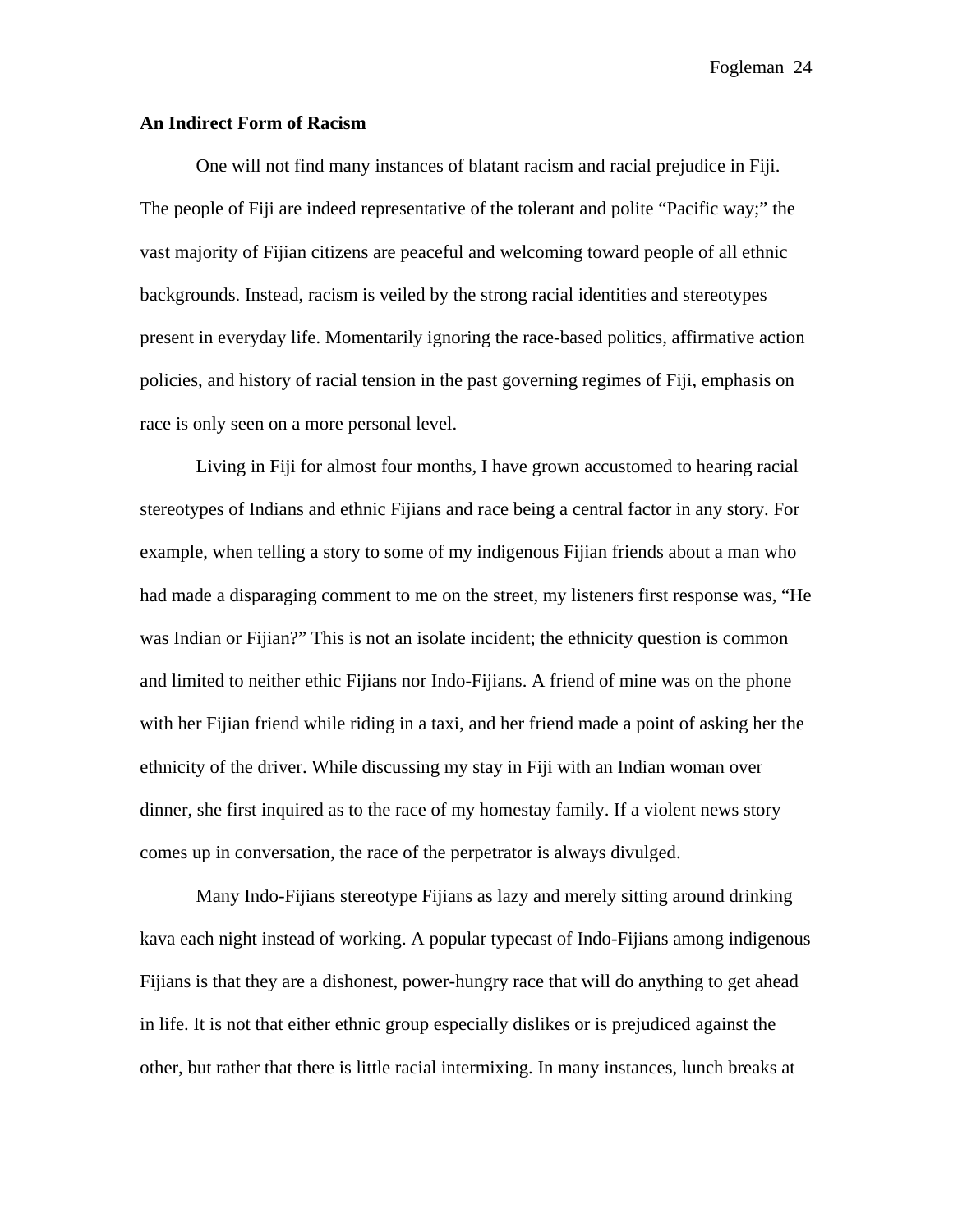#### **An Indirect Form of Racism**

 One will not find many instances of blatant racism and racial prejudice in Fiji. The people of Fiji are indeed representative of the tolerant and polite "Pacific way;" the vast majority of Fijian citizens are peaceful and welcoming toward people of all ethnic backgrounds. Instead, racism is veiled by the strong racial identities and stereotypes present in everyday life. Momentarily ignoring the race-based politics, affirmative action policies, and history of racial tension in the past governing regimes of Fiji, emphasis on race is only seen on a more personal level.

 Living in Fiji for almost four months, I have grown accustomed to hearing racial stereotypes of Indians and ethnic Fijians and race being a central factor in any story. For example, when telling a story to some of my indigenous Fijian friends about a man who had made a disparaging comment to me on the street, my listeners first response was, "He was Indian or Fijian?" This is not an isolate incident; the ethnicity question is common and limited to neither ethic Fijians nor Indo-Fijians. A friend of mine was on the phone with her Fijian friend while riding in a taxi, and her friend made a point of asking her the ethnicity of the driver. While discussing my stay in Fiji with an Indian woman over dinner, she first inquired as to the race of my homestay family. If a violent news story comes up in conversation, the race of the perpetrator is always divulged.

 Many Indo-Fijians stereotype Fijians as lazy and merely sitting around drinking kava each night instead of working. A popular typecast of Indo-Fijians among indigenous Fijians is that they are a dishonest, power-hungry race that will do anything to get ahead in life. It is not that either ethnic group especially dislikes or is prejudiced against the other, but rather that there is little racial intermixing. In many instances, lunch breaks at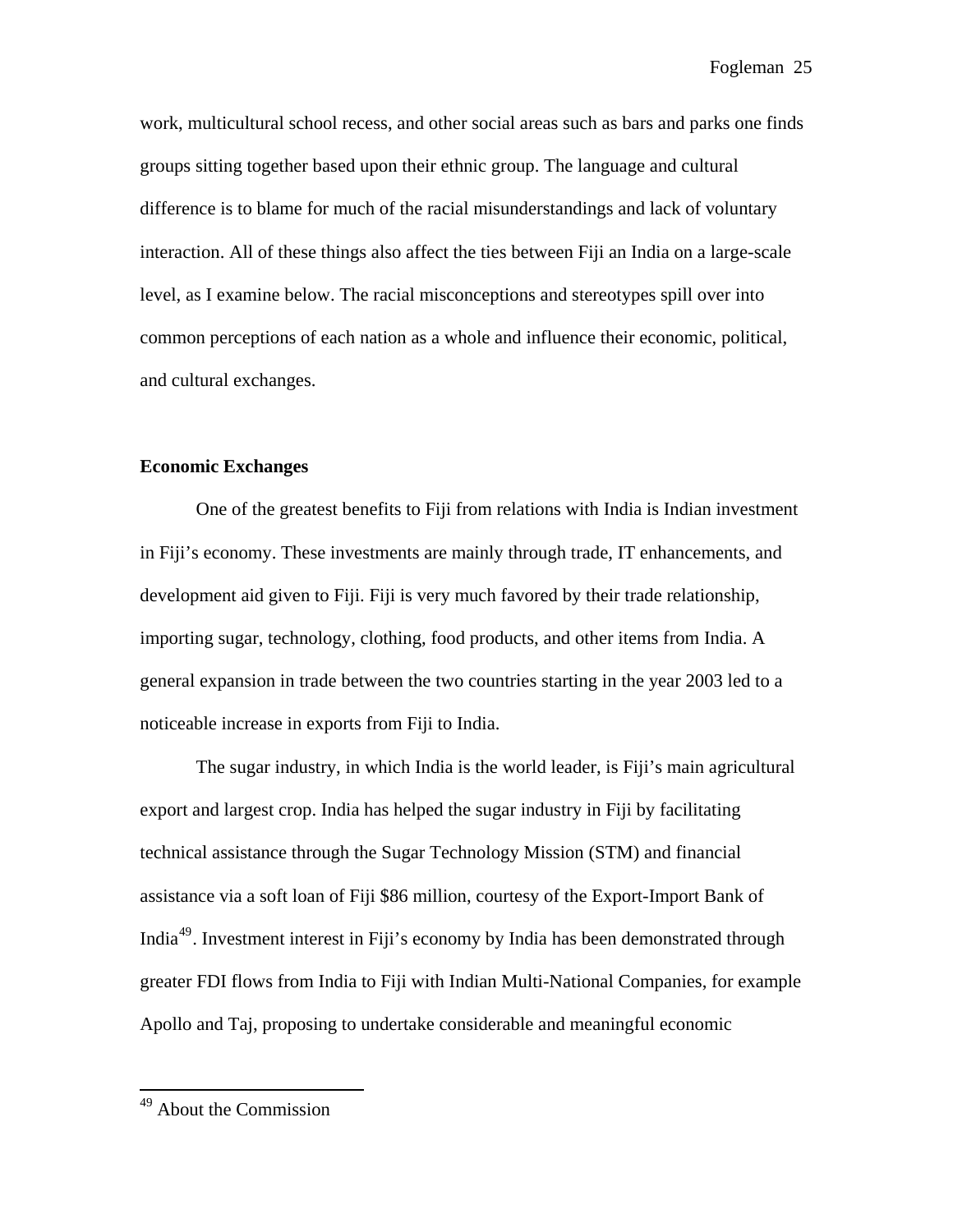work, multicultural school recess, and other social areas such as bars and parks one finds groups sitting together based upon their ethnic group. The language and cultural difference is to blame for much of the racial misunderstandings and lack of voluntary interaction. All of these things also affect the ties between Fiji an India on a large-scale level, as I examine below. The racial misconceptions and stereotypes spill over into common perceptions of each nation as a whole and influence their economic, political, and cultural exchanges.

#### **Economic Exchanges**

 One of the greatest benefits to Fiji from relations with India is Indian investment in Fiji's economy. These investments are mainly through trade, IT enhancements, and development aid given to Fiji. Fiji is very much favored by their trade relationship, importing sugar, technology, clothing, food products, and other items from India. A general expansion in trade between the two countries starting in the year 2003 led to a noticeable increase in exports from Fiji to India.

 The sugar industry, in which India is the world leader, is Fiji's main agricultural export and largest crop. India has helped the sugar industry in Fiji by facilitating technical assistance through the Sugar Technology Mission (STM) and financial assistance via a soft loan of Fiji \$86 million, courtesy of the Export-Import Bank of India[49](#page-25-0). Investment interest in Fiji's economy by India has been demonstrated through greater FDI flows from India to Fiji with Indian Multi-National Companies, for example Apollo and Taj, proposing to undertake considerable and meaningful economic

<span id="page-25-0"></span> $49$  About the Commission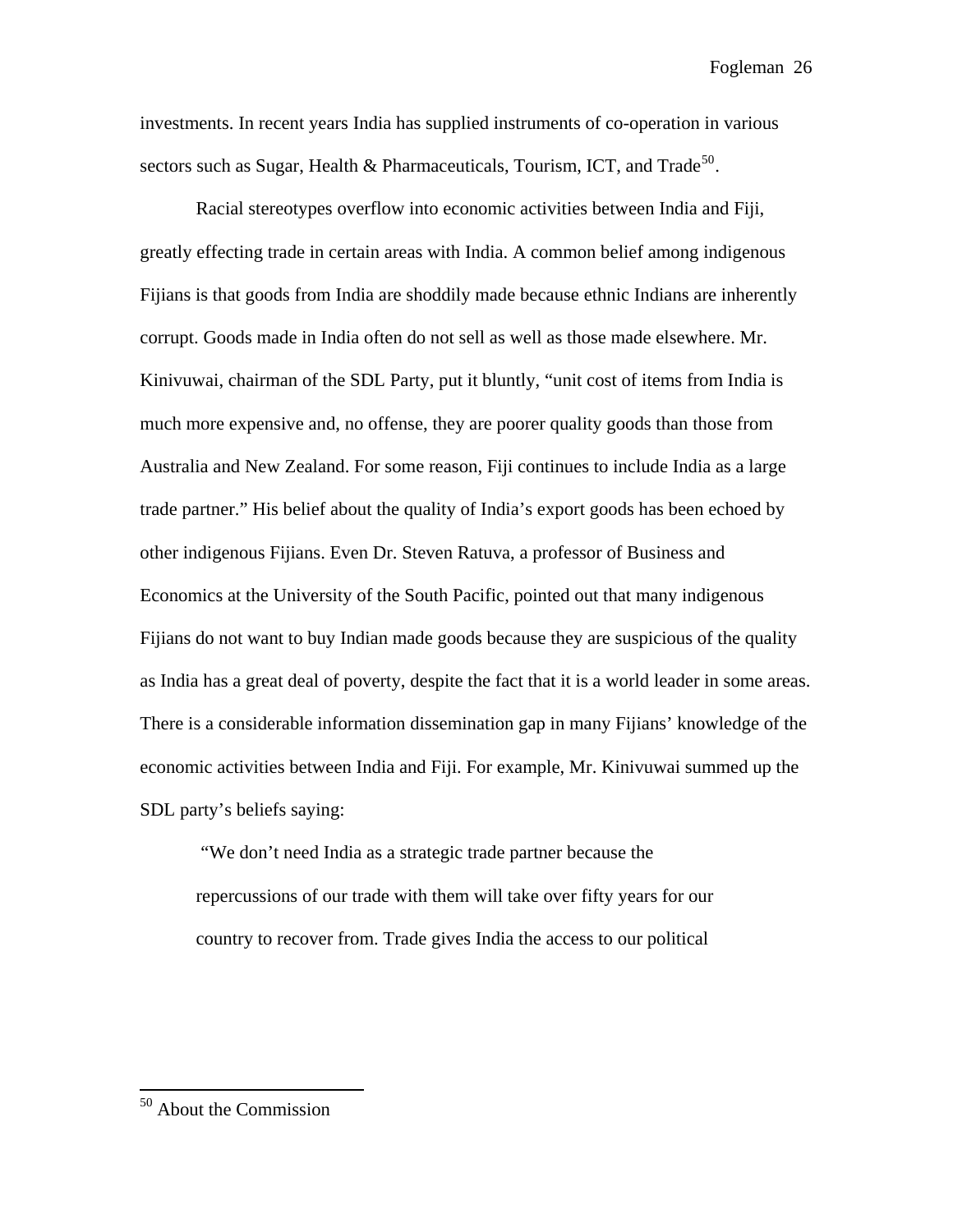investments. In recent years India has supplied instruments of co-operation in various sectors such as Sugar, Health & Pharmaceuticals, Tourism, ICT, and Trade<sup>[50](#page-26-0)</sup>.

 Racial stereotypes overflow into economic activities between India and Fiji, greatly effecting trade in certain areas with India. A common belief among indigenous Fijians is that goods from India are shoddily made because ethnic Indians are inherently corrupt. Goods made in India often do not sell as well as those made elsewhere. Mr. Kinivuwai, chairman of the SDL Party, put it bluntly, "unit cost of items from India is much more expensive and, no offense, they are poorer quality goods than those from Australia and New Zealand. For some reason, Fiji continues to include India as a large trade partner." His belief about the quality of India's export goods has been echoed by other indigenous Fijians. Even Dr. Steven Ratuva, a professor of Business and Economics at the University of the South Pacific, pointed out that many indigenous Fijians do not want to buy Indian made goods because they are suspicious of the quality as India has a great deal of poverty, despite the fact that it is a world leader in some areas. There is a considerable information dissemination gap in many Fijians' knowledge of the economic activities between India and Fiji. For example, Mr. Kinivuwai summed up the SDL party's beliefs saying:

 "We don't need India as a strategic trade partner because the repercussions of our trade with them will take over fifty years for our country to recover from. Trade gives India the access to our political

<span id="page-26-0"></span><sup>50</sup> About the Commission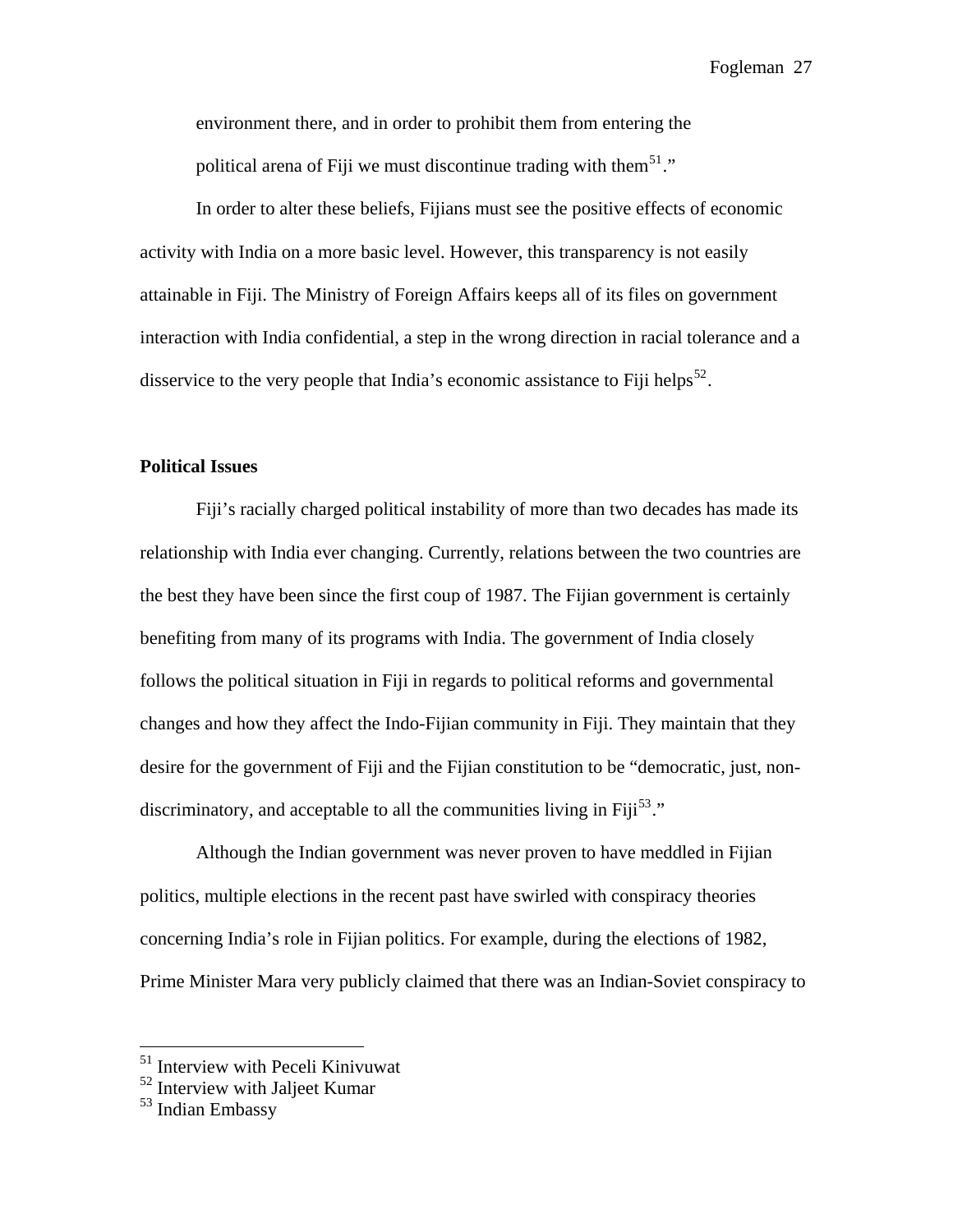environment there, and in order to prohibit them from entering the political arena of Fiji we must discontinue trading with them<sup>[51](#page-27-0)</sup>."

 In order to alter these beliefs, Fijians must see the positive effects of economic activity with India on a more basic level. However, this transparency is not easily attainable in Fiji. The Ministry of Foreign Affairs keeps all of its files on government interaction with India confidential, a step in the wrong direction in racial tolerance and a disservice to the very people that India's economic assistance to Fiji helps<sup>[52](#page-27-1)</sup>.

## **Political Issues**

 Fiji's racially charged political instability of more than two decades has made its relationship with India ever changing. Currently, relations between the two countries are the best they have been since the first coup of 1987. The Fijian government is certainly benefiting from many of its programs with India. The government of India closely follows the political situation in Fiji in regards to political reforms and governmental changes and how they affect the Indo-Fijian community in Fiji. They maintain that they desire for the government of Fiji and the Fijian constitution to be "democratic, just, non-discriminatory, and acceptable to all the communities living in Fiji<sup>[53](#page-27-2)</sup>."

 Although the Indian government was never proven to have meddled in Fijian politics, multiple elections in the recent past have swirled with conspiracy theories concerning India's role in Fijian politics. For example, during the elections of 1982, Prime Minister Mara very publicly claimed that there was an Indian-Soviet conspiracy to

<span id="page-27-0"></span><sup>51</sup> Interview with Peceli Kinivuwat

<span id="page-27-1"></span><sup>52</sup> Interview with Jaljeet Kumar

<span id="page-27-2"></span><sup>53</sup> Indian Embassy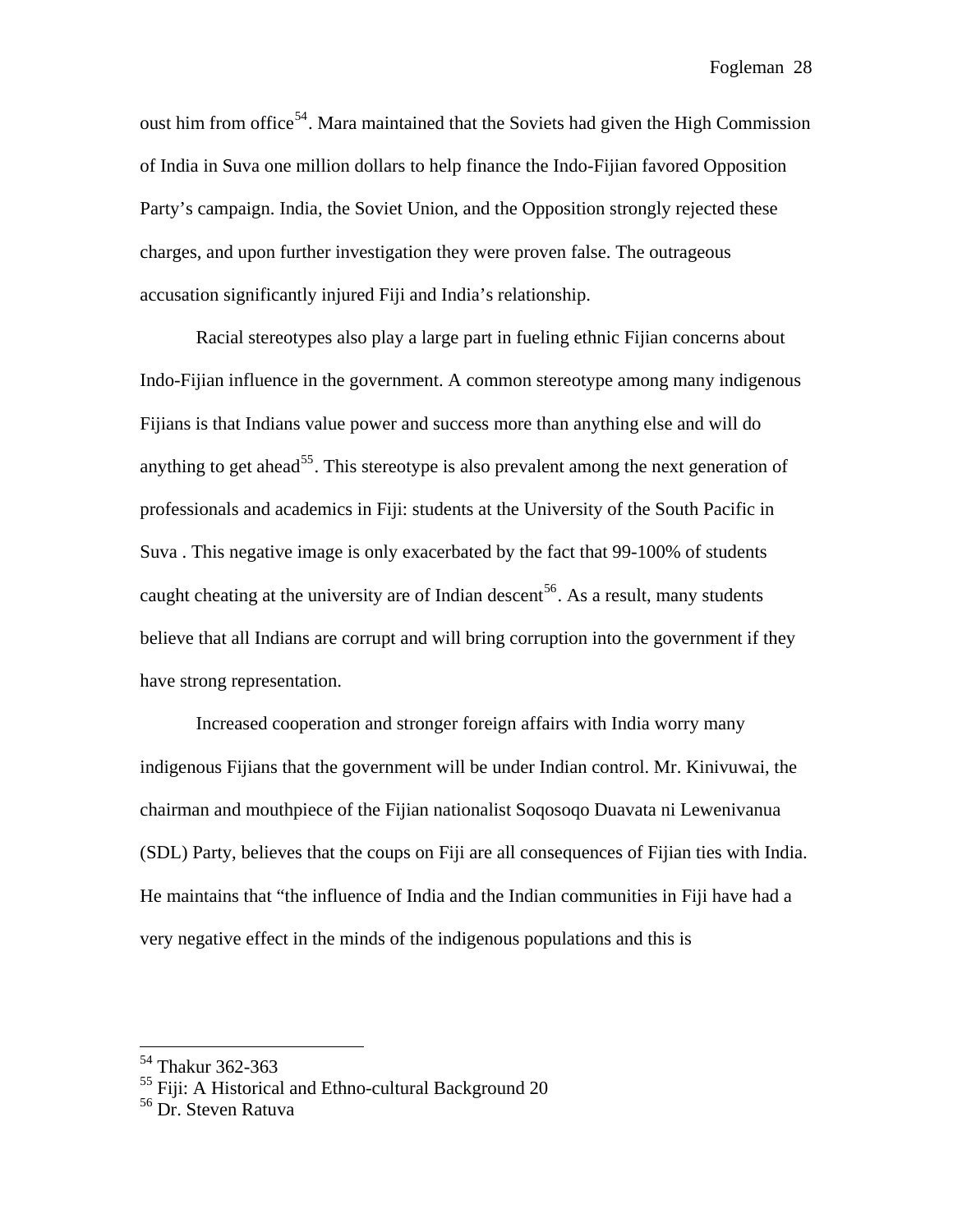oust him from office<sup>[54](#page-28-0)</sup>. Mara maintained that the Soviets had given the High Commission of India in Suva one million dollars to help finance the Indo-Fijian favored Opposition Party's campaign. India, the Soviet Union, and the Opposition strongly rejected these charges, and upon further investigation they were proven false. The outrageous accusation significantly injured Fiji and India's relationship.

 Racial stereotypes also play a large part in fueling ethnic Fijian concerns about Indo-Fijian influence in the government. A common stereotype among many indigenous Fijians is that Indians value power and success more than anything else and will do anything to get ahead<sup>[55](#page-28-1)</sup>. This stereotype is also prevalent among the next generation of professionals and academics in Fiji: students at the University of the South Pacific in Suva . This negative image is only exacerbated by the fact that 99-100% of students caught cheating at the university are of Indian descent<sup>[56](#page-28-2)</sup>. As a result, many students believe that all Indians are corrupt and will bring corruption into the government if they have strong representation.

 Increased cooperation and stronger foreign affairs with India worry many indigenous Fijians that the government will be under Indian control. Mr. Kinivuwai, the chairman and mouthpiece of the Fijian nationalist Soqosoqo Duavata ni Lewenivanua (SDL) Party, believes that the coups on Fiji are all consequences of Fijian ties with India. He maintains that "the influence of India and the Indian communities in Fiji have had a very negative effect in the minds of the indigenous populations and this is

<sup>54</sup> Thakur 362-363

<span id="page-28-1"></span><span id="page-28-0"></span><sup>55</sup> Fiji: A Historical and Ethno-cultural Background 20

<span id="page-28-2"></span><sup>&</sup>lt;sup>56</sup> Dr. Steven Ratuva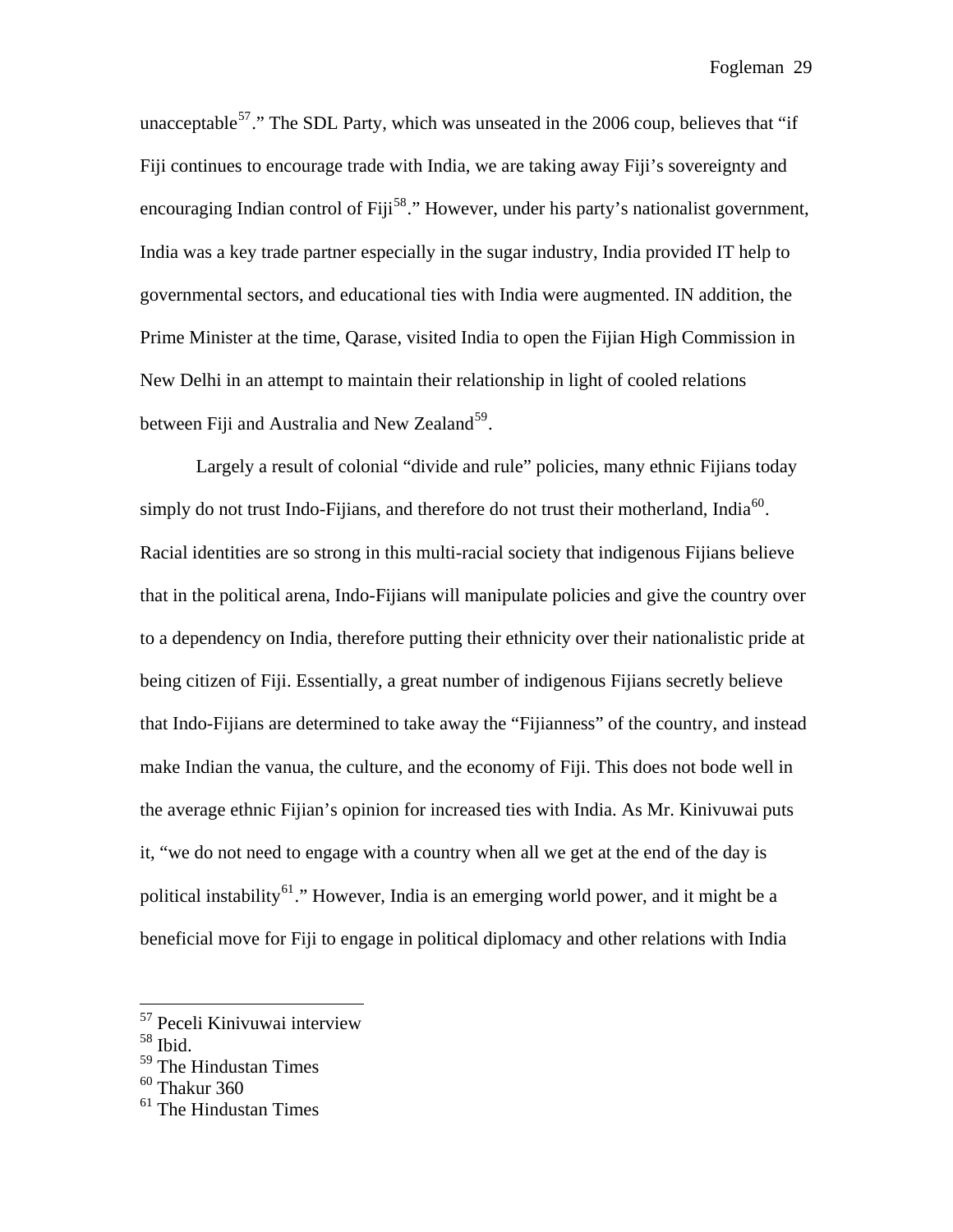unacceptable<sup>[57](#page-29-0)</sup>." The SDL Party, which was unseated in the 2006 coup, believes that "if Fiji continues to encourage trade with India, we are taking away Fiji's sovereignty and encouraging Indian control of Fiji<sup>[58](#page-29-1)</sup>." However, under his party's nationalist government, India was a key trade partner especially in the sugar industry, India provided IT help to governmental sectors, and educational ties with India were augmented. IN addition, the Prime Minister at the time, Qarase, visited India to open the Fijian High Commission in New Delhi in an attempt to maintain their relationship in light of cooled relations between Fiji and Australia and New Zealand<sup>[59](#page-29-2)</sup>.

 Largely a result of colonial "divide and rule" policies, many ethnic Fijians today simply do not trust Indo-Fijians, and therefore do not trust their motherland, India<sup>[60](#page-29-3)</sup>. Racial identities are so strong in this multi-racial society that indigenous Fijians believe that in the political arena, Indo-Fijians will manipulate policies and give the country over to a dependency on India, therefore putting their ethnicity over their nationalistic pride at being citizen of Fiji. Essentially, a great number of indigenous Fijians secretly believe that Indo-Fijians are determined to take away the "Fijianness" of the country, and instead make Indian the vanua, the culture, and the economy of Fiji. This does not bode well in the average ethnic Fijian's opinion for increased ties with India. As Mr. Kinivuwai puts it, "we do not need to engage with a country when all we get at the end of the day is political instability<sup>[61](#page-29-4)</sup>." However, India is an emerging world power, and it might be a beneficial move for Fiji to engage in political diplomacy and other relations with India

<sup>57</sup> Peceli Kinivuwai interview

<span id="page-29-1"></span><span id="page-29-0"></span><sup>58</sup> Ibid.

<span id="page-29-2"></span><sup>59</sup> The Hindustan Times

<span id="page-29-3"></span> $60$  Thakur 360

<span id="page-29-4"></span> $61$  The Hindustan Times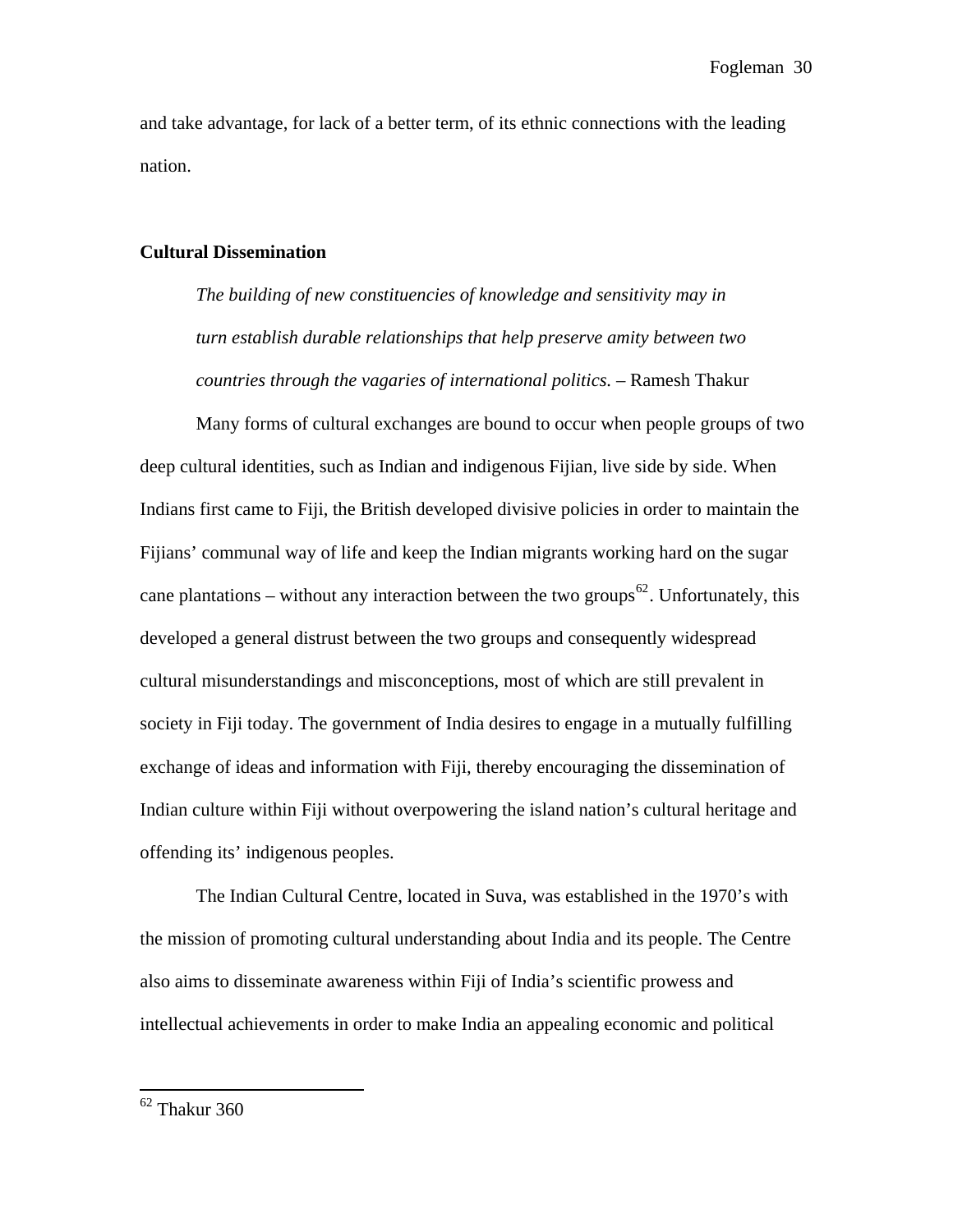and take advantage, for lack of a better term, of its ethnic connections with the leading nation.

#### **Cultural Dissemination**

 *The building of new constituencies of knowledge and sensitivity may in turn establish durable relationships that help preserve amity between two countries through the vagaries of international politics. –* Ramesh Thakur

 Many forms of cultural exchanges are bound to occur when people groups of two deep cultural identities, such as Indian and indigenous Fijian, live side by side. When Indians first came to Fiji, the British developed divisive policies in order to maintain the Fijians' communal way of life and keep the Indian migrants working hard on the sugar cane plantations – without any interaction between the two groups<sup>[62](#page-30-0)</sup>. Unfortunately, this developed a general distrust between the two groups and consequently widespread cultural misunderstandings and misconceptions, most of which are still prevalent in society in Fiji today. The government of India desires to engage in a mutually fulfilling exchange of ideas and information with Fiji, thereby encouraging the dissemination of Indian culture within Fiji without overpowering the island nation's cultural heritage and offending its' indigenous peoples.

 The Indian Cultural Centre, located in Suva, was established in the 1970's with the mission of promoting cultural understanding about India and its people. The Centre also aims to disseminate awareness within Fiji of India's scientific prowess and intellectual achievements in order to make India an appealing economic and political

<span id="page-30-0"></span> $62$  Thakur 360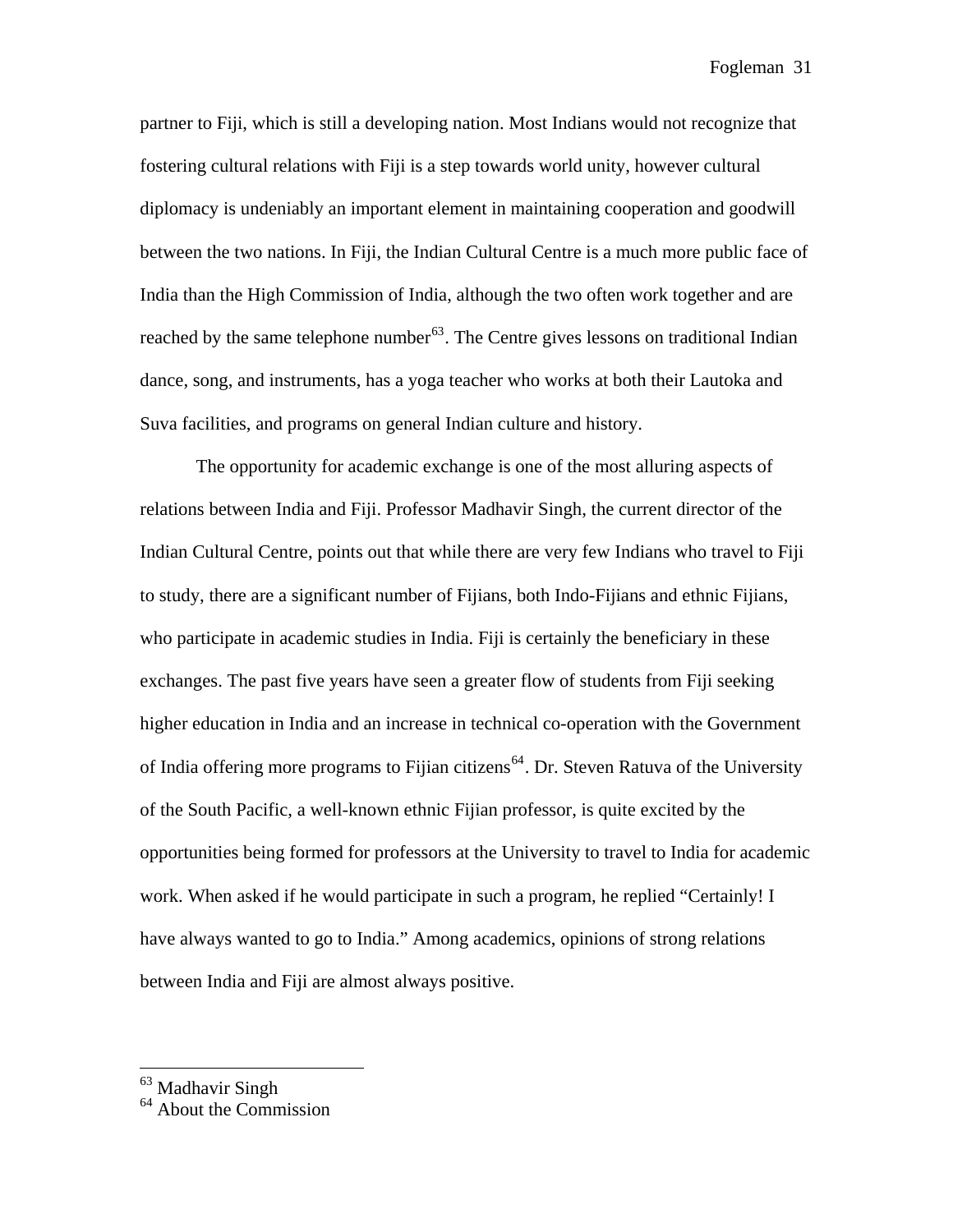partner to Fiji, which is still a developing nation. Most Indians would not recognize that fostering cultural relations with Fiji is a step towards world unity, however cultural diplomacy is undeniably an important element in maintaining cooperation and goodwill between the two nations. In Fiji, the Indian Cultural Centre is a much more public face of India than the High Commission of India, although the two often work together and are reached by the same telephone number<sup>[63](#page-31-0)</sup>. The Centre gives lessons on traditional Indian dance, song, and instruments, has a yoga teacher who works at both their Lautoka and Suva facilities, and programs on general Indian culture and history.

 The opportunity for academic exchange is one of the most alluring aspects of relations between India and Fiji. Professor Madhavir Singh, the current director of the Indian Cultural Centre, points out that while there are very few Indians who travel to Fiji to study, there are a significant number of Fijians, both Indo-Fijians and ethnic Fijians, who participate in academic studies in India. Fiji is certainly the beneficiary in these exchanges. The past five years have seen a greater flow of students from Fiji seeking higher education in India and an increase in technical co-operation with the Government of India offering more programs to Fijian citizens<sup>[64](#page-31-1)</sup>. Dr. Steven Ratuva of the University of the South Pacific, a well-known ethnic Fijian professor, is quite excited by the opportunities being formed for professors at the University to travel to India for academic work. When asked if he would participate in such a program, he replied "Certainly! I have always wanted to go to India." Among academics, opinions of strong relations between India and Fiji are almost always positive.

<sup>&</sup>lt;sup>63</sup> Madhavir Singh

<span id="page-31-1"></span><span id="page-31-0"></span> $64$  About the Commission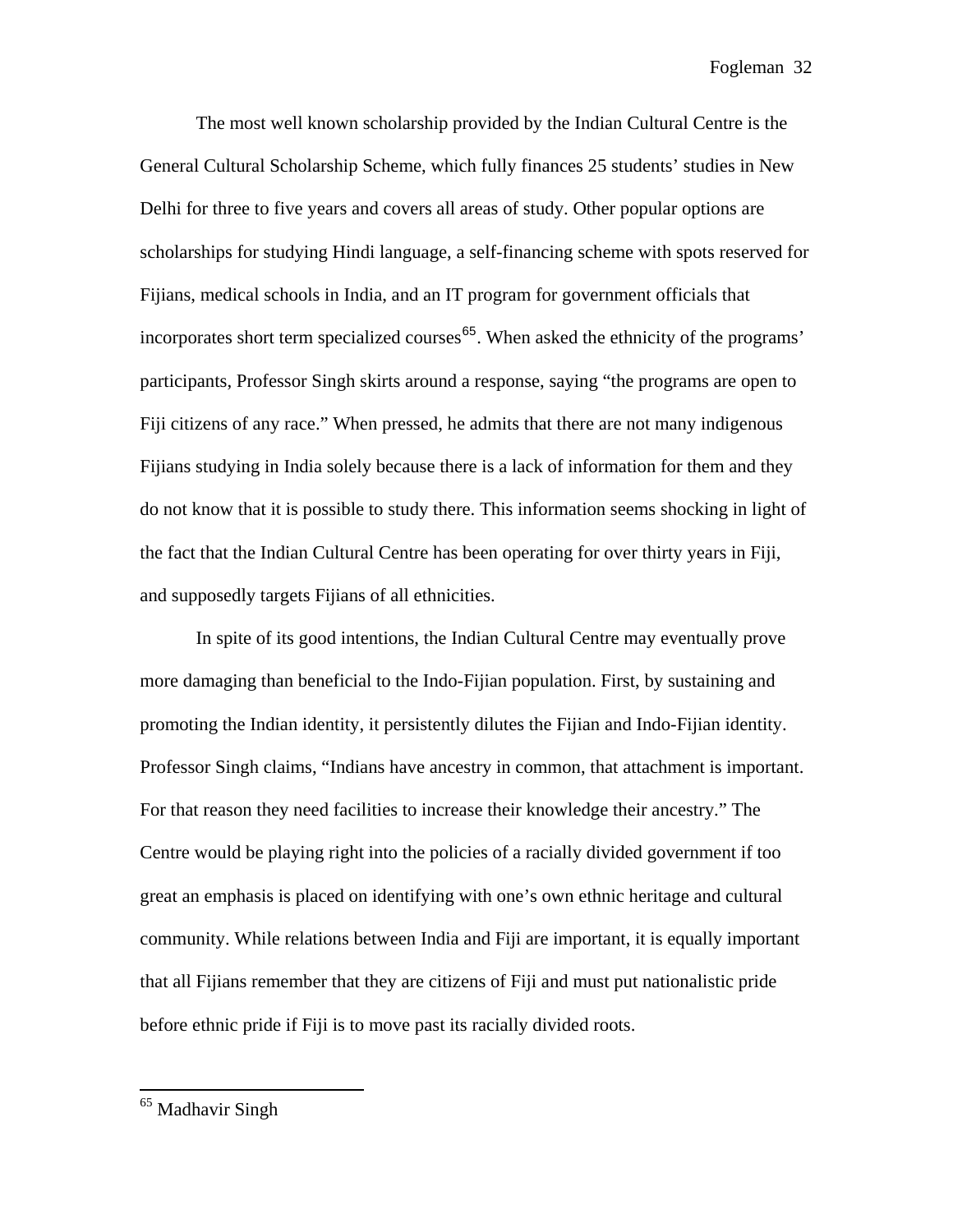The most well known scholarship provided by the Indian Cultural Centre is the General Cultural Scholarship Scheme, which fully finances 25 students' studies in New Delhi for three to five years and covers all areas of study. Other popular options are scholarships for studying Hindi language, a self-financing scheme with spots reserved for Fijians, medical schools in India, and an IT program for government officials that incorporates short term specialized courses<sup>[65](#page-32-0)</sup>. When asked the ethnicity of the programs' participants, Professor Singh skirts around a response, saying "the programs are open to Fiji citizens of any race." When pressed, he admits that there are not many indigenous Fijians studying in India solely because there is a lack of information for them and they do not know that it is possible to study there. This information seems shocking in light of the fact that the Indian Cultural Centre has been operating for over thirty years in Fiji, and supposedly targets Fijians of all ethnicities.

 In spite of its good intentions, the Indian Cultural Centre may eventually prove more damaging than beneficial to the Indo-Fijian population. First, by sustaining and promoting the Indian identity, it persistently dilutes the Fijian and Indo-Fijian identity. Professor Singh claims, "Indians have ancestry in common, that attachment is important. For that reason they need facilities to increase their knowledge their ancestry." The Centre would be playing right into the policies of a racially divided government if too great an emphasis is placed on identifying with one's own ethnic heritage and cultural community. While relations between India and Fiji are important, it is equally important that all Fijians remember that they are citizens of Fiji and must put nationalistic pride before ethnic pride if Fiji is to move past its racially divided roots.

<span id="page-32-0"></span><sup>&</sup>lt;sup>65</sup> Madhavir Singh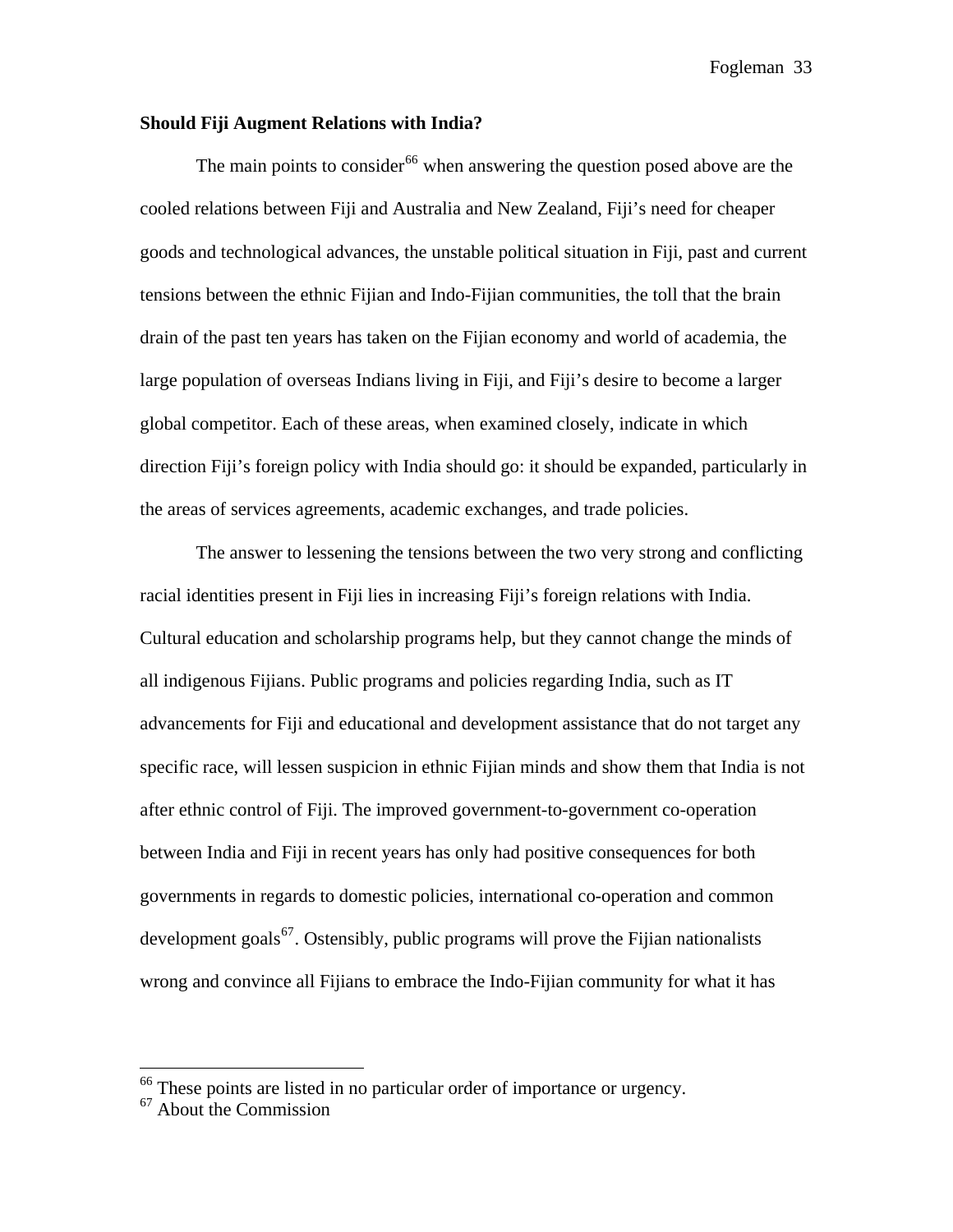#### **Should Fiji Augment Relations with India?**

The main points to consider<sup>[66](#page-33-0)</sup> when answering the question posed above are the cooled relations between Fiji and Australia and New Zealand, Fiji's need for cheaper goods and technological advances, the unstable political situation in Fiji, past and current tensions between the ethnic Fijian and Indo-Fijian communities, the toll that the brain drain of the past ten years has taken on the Fijian economy and world of academia, the large population of overseas Indians living in Fiji, and Fiji's desire to become a larger global competitor. Each of these areas, when examined closely, indicate in which direction Fiji's foreign policy with India should go: it should be expanded, particularly in the areas of services agreements, academic exchanges, and trade policies.

 The answer to lessening the tensions between the two very strong and conflicting racial identities present in Fiji lies in increasing Fiji's foreign relations with India. Cultural education and scholarship programs help, but they cannot change the minds of all indigenous Fijians. Public programs and policies regarding India, such as IT advancements for Fiji and educational and development assistance that do not target any specific race, will lessen suspicion in ethnic Fijian minds and show them that India is not after ethnic control of Fiji. The improved government-to-government co-operation between India and Fiji in recent years has only had positive consequences for both governments in regards to domestic policies, international co-operation and common development goals<sup>[67](#page-33-1)</sup>. Ostensibly, public programs will prove the Fijian nationalists wrong and convince all Fijians to embrace the Indo-Fijian community for what it has

<span id="page-33-0"></span> $66$  These points are listed in no particular order of importance or urgency.

<span id="page-33-1"></span><sup>67</sup> About the Commission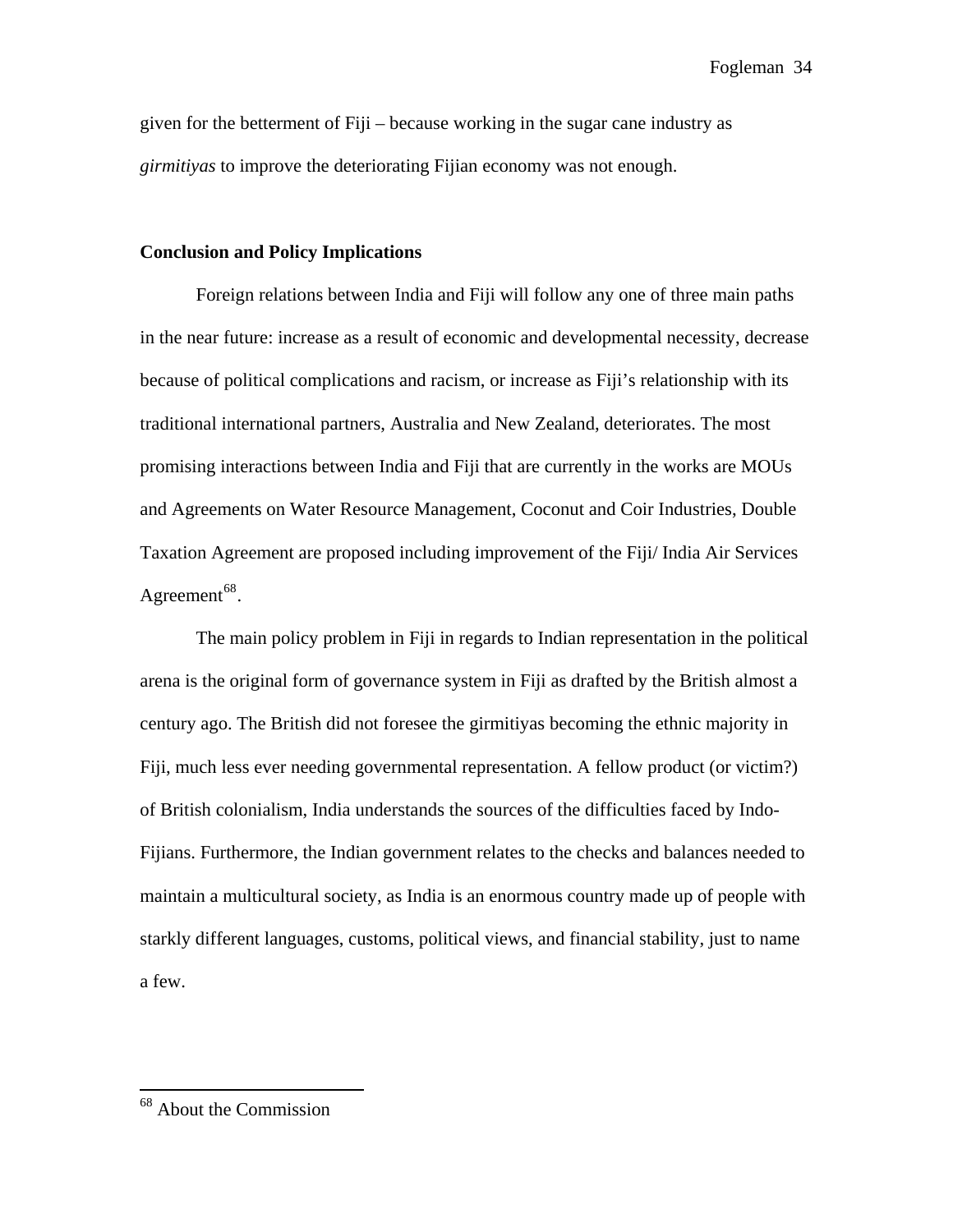given for the betterment of Fiji – because working in the sugar cane industry as *girmitiyas* to improve the deteriorating Fijian economy was not enough.

#### **Conclusion and Policy Implications**

 Foreign relations between India and Fiji will follow any one of three main paths in the near future: increase as a result of economic and developmental necessity, decrease because of political complications and racism, or increase as Fiji's relationship with its traditional international partners, Australia and New Zealand, deteriorates. The most promising interactions between India and Fiji that are currently in the works are MOUs and Agreements on Water Resource Management, Coconut and Coir Industries, Double Taxation Agreement are proposed including improvement of the Fiji/ India Air Services Agreement<sup>[68](#page-34-0)</sup>.

 The main policy problem in Fiji in regards to Indian representation in the political arena is the original form of governance system in Fiji as drafted by the British almost a century ago. The British did not foresee the girmitiyas becoming the ethnic majority in Fiji, much less ever needing governmental representation. A fellow product (or victim?) of British colonialism, India understands the sources of the difficulties faced by Indo-Fijians. Furthermore, the Indian government relates to the checks and balances needed to maintain a multicultural society, as India is an enormous country made up of people with starkly different languages, customs, political views, and financial stability, just to name a few.

<span id="page-34-0"></span><sup>&</sup>lt;sup>68</sup> About the Commission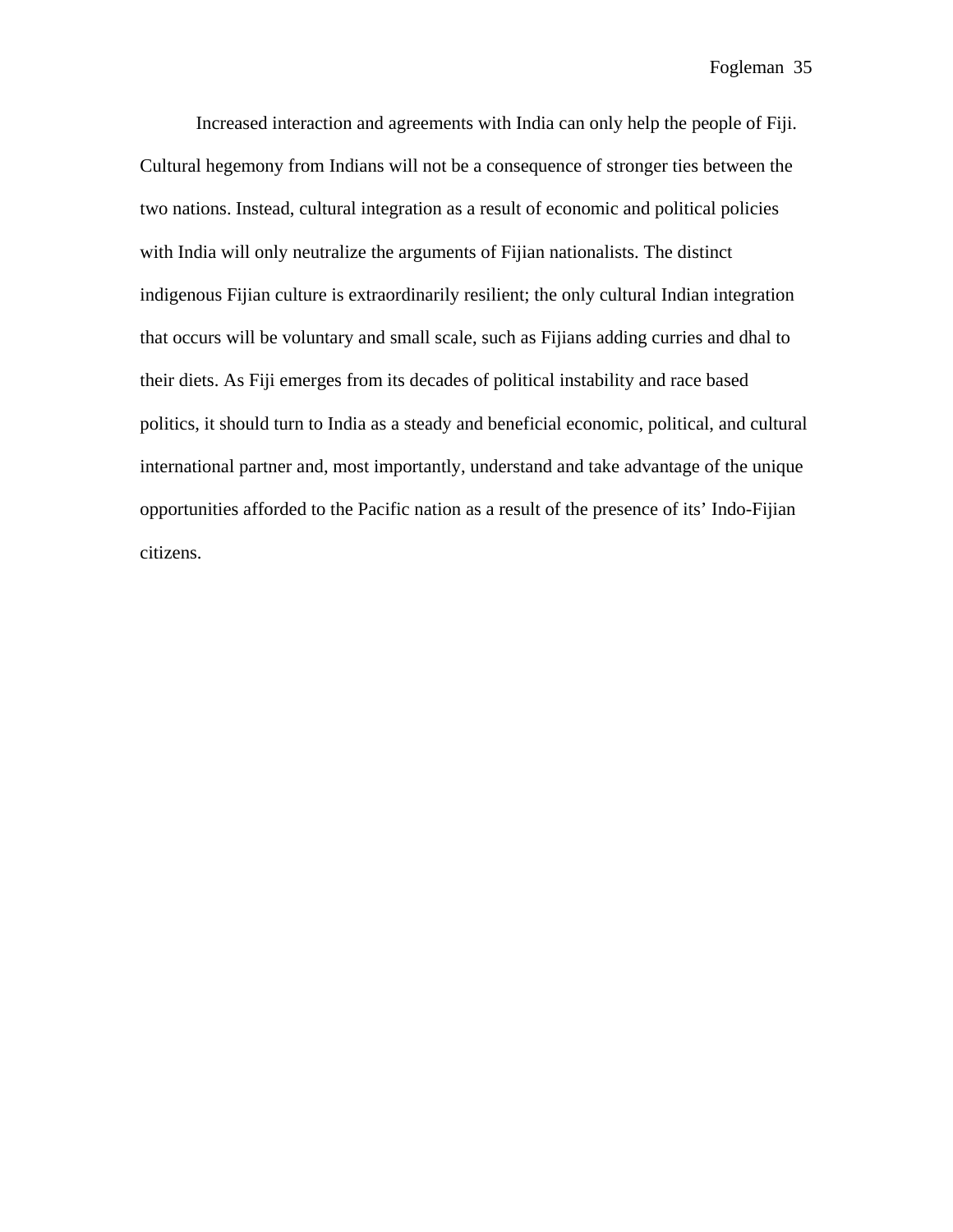Increased interaction and agreements with India can only help the people of Fiji. Cultural hegemony from Indians will not be a consequence of stronger ties between the two nations. Instead, cultural integration as a result of economic and political policies with India will only neutralize the arguments of Fijian nationalists. The distinct indigenous Fijian culture is extraordinarily resilient; the only cultural Indian integration that occurs will be voluntary and small scale, such as Fijians adding curries and dhal to their diets. As Fiji emerges from its decades of political instability and race based politics, it should turn to India as a steady and beneficial economic, political, and cultural international partner and, most importantly, understand and take advantage of the unique opportunities afforded to the Pacific nation as a result of the presence of its' Indo-Fijian citizens.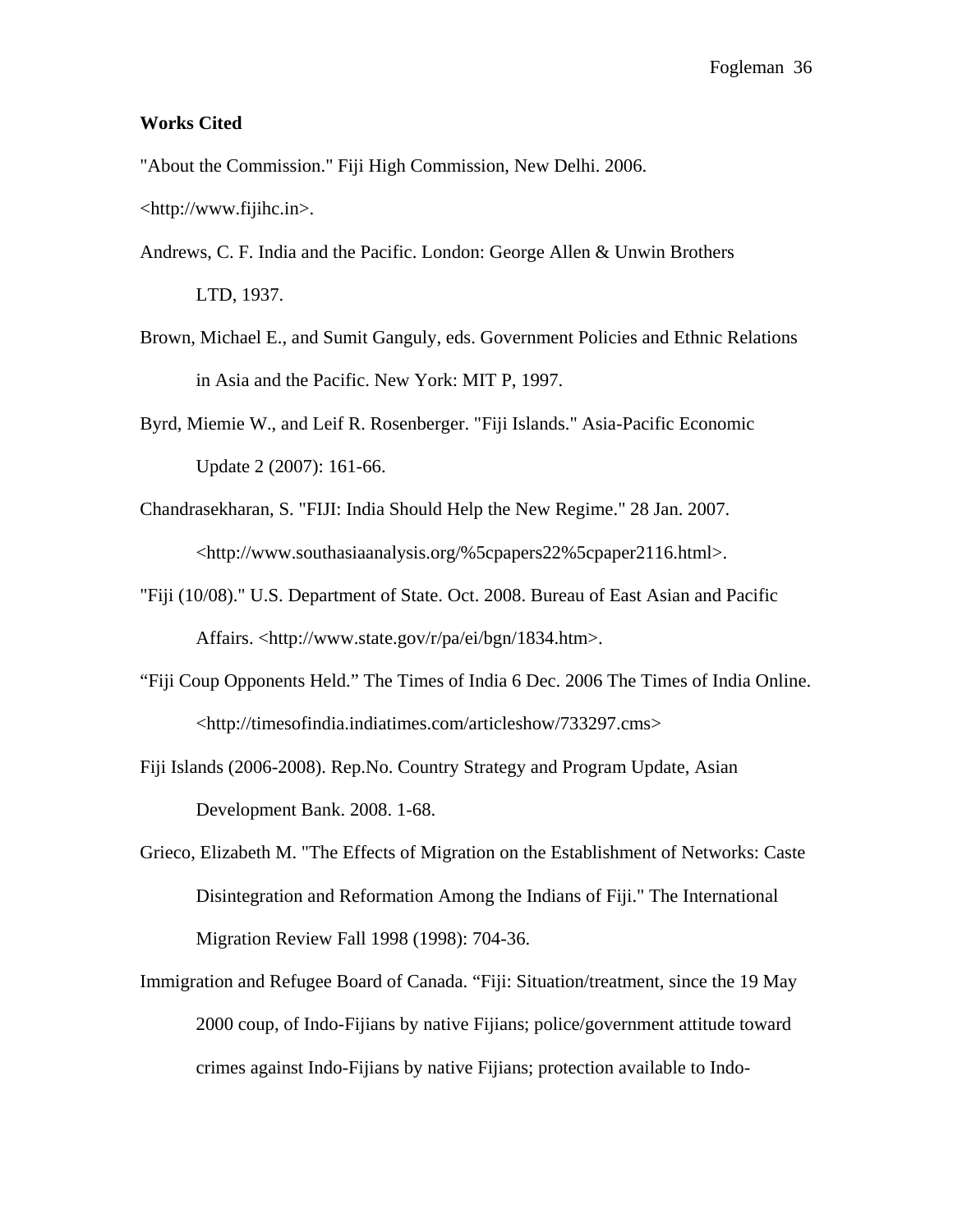#### **Works Cited**

"About the Commission." Fiji High Commission, New Delhi. 2006. <http://www.fijihc.in>.

- Andrews, C. F. India and the Pacific. London: George Allen & Unwin Brothers LTD, 1937.
- Brown, Michael E., and Sumit Ganguly, eds. Government Policies and Ethnic Relations in Asia and the Pacific. New York: MIT P, 1997.
- Byrd, Miemie W., and Leif R. Rosenberger. "Fiji Islands." Asia-Pacific Economic Update 2 (2007): 161-66.
- Chandrasekharan, S. "FIJI: India Should Help the New Regime." 28 Jan. 2007. <http://www.southasiaanalysis.org/%5cpapers22%5cpaper2116.html>.
- "Fiji (10/08)." U.S. Department of State. Oct. 2008. Bureau of East Asian and Pacific Affairs. <http://www.state.gov/r/pa/ei/bgn/1834.htm>.
- "Fiji Coup Opponents Held." The Times of India 6 Dec. 2006 The Times of India Online. <http://timesofindia.indiatimes.com/articleshow/733297.cms>
- Fiji Islands (2006-2008). Rep.No. Country Strategy and Program Update, Asian Development Bank. 2008. 1-68.
- Grieco, Elizabeth M. "The Effects of Migration on the Establishment of Networks: Caste Disintegration and Reformation Among the Indians of Fiji." The International Migration Review Fall 1998 (1998): 704-36.
- Immigration and Refugee Board of Canada. "Fiji: Situation/treatment, since the 19 May 2000 coup, of Indo-Fijians by native Fijians; police/government attitude toward crimes against Indo-Fijians by native Fijians; protection available to Indo-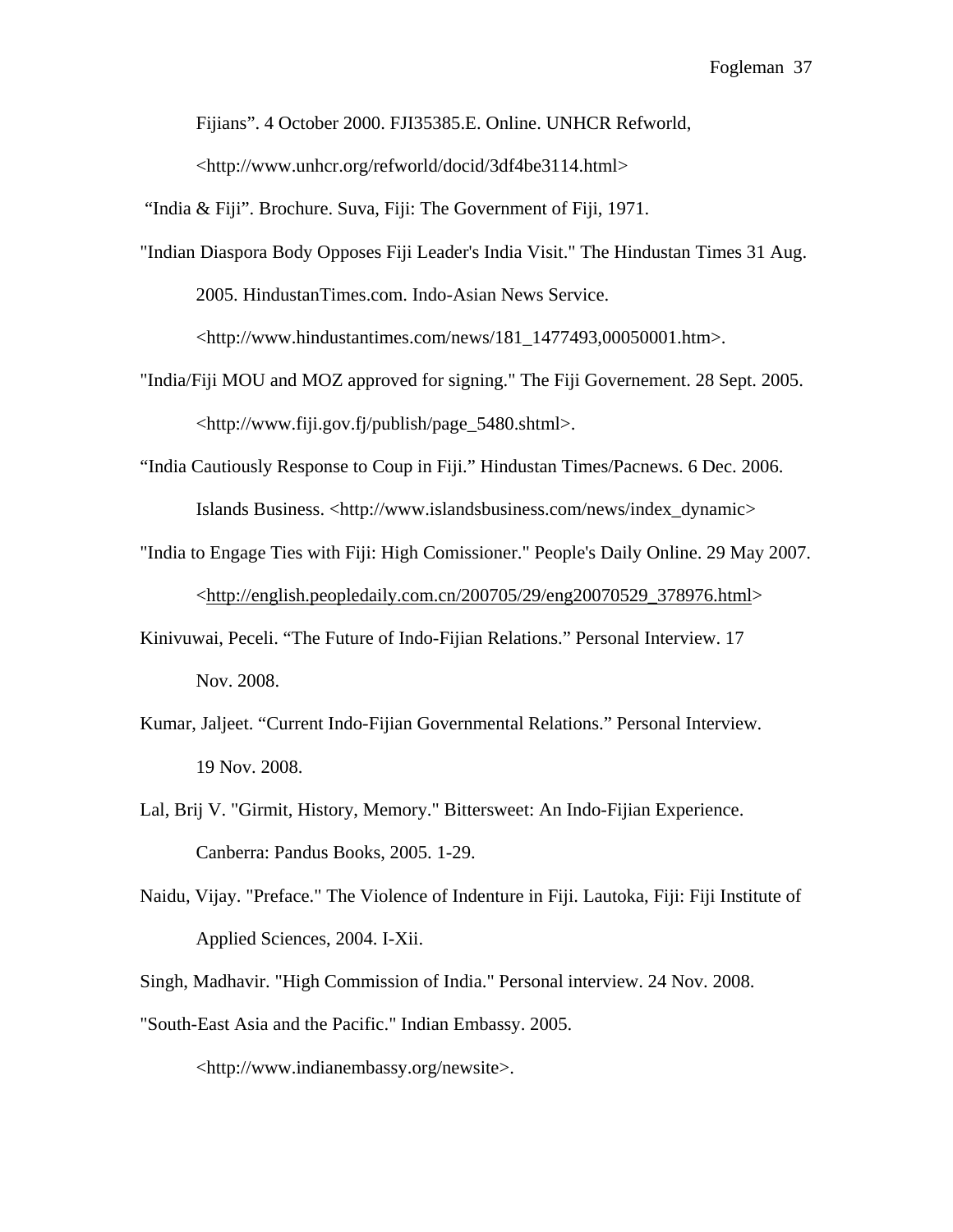Fijians". 4 October 2000. FJI35385.E. Online. UNHCR Refworld,

<[http://www.unhcr.org/refworld/docid/3df4be3114.html>](http://www.unhcr.org/refworld/docid/3df4be3114.html)

"India & Fiji". Brochure. Suva, Fiji: The Government of Fiji, 1971.

"Indian Diaspora Body Opposes Fiji Leader's India Visit." The Hindustan Times 31 Aug. 2005. HindustanTimes.com. Indo-Asian News Service.

<http://www.hindustantimes.com/news/181\_1477493,00050001.htm>.

- "India/Fiji MOU and MOZ approved for signing." The Fiji Governement. 28 Sept. 2005. <http://www.fiji.gov.fj/publish/page\_5480.shtml>.
- "India Cautiously Response to Coup in Fiji." Hindustan Times/Pacnews. 6 Dec. 2006. Islands Business. <http://www.islandsbusiness.com/news/index\_dynamic>
- "India to Engage Ties with Fiji: High Comissioner." People's Daily Online. 29 May 2007. <[http://english.peopledaily.com.cn/200705/29/eng20070529\\_378976.html](http://english.peopledaily.com.cn/200705/29/eng20070529_378976.html)>
- Kinivuwai, Peceli. "The Future of Indo-Fijian Relations." Personal Interview. 17 Nov. 2008.
- Kumar, Jaljeet. "Current Indo-Fijian Governmental Relations." Personal Interview. 19 Nov. 2008.
- Lal, Brij V. "Girmit, History, Memory." Bittersweet: An Indo-Fijian Experience. Canberra: Pandus Books, 2005. 1-29.
- Naidu, Vijay. "Preface." The Violence of Indenture in Fiji. Lautoka, Fiji: Fiji Institute of Applied Sciences, 2004. I-Xii.

Singh, Madhavir. "High Commission of India." Personal interview. 24 Nov. 2008. "South-East Asia and the Pacific." Indian Embassy. 2005.

<http://www.indianembassy.org/newsite>.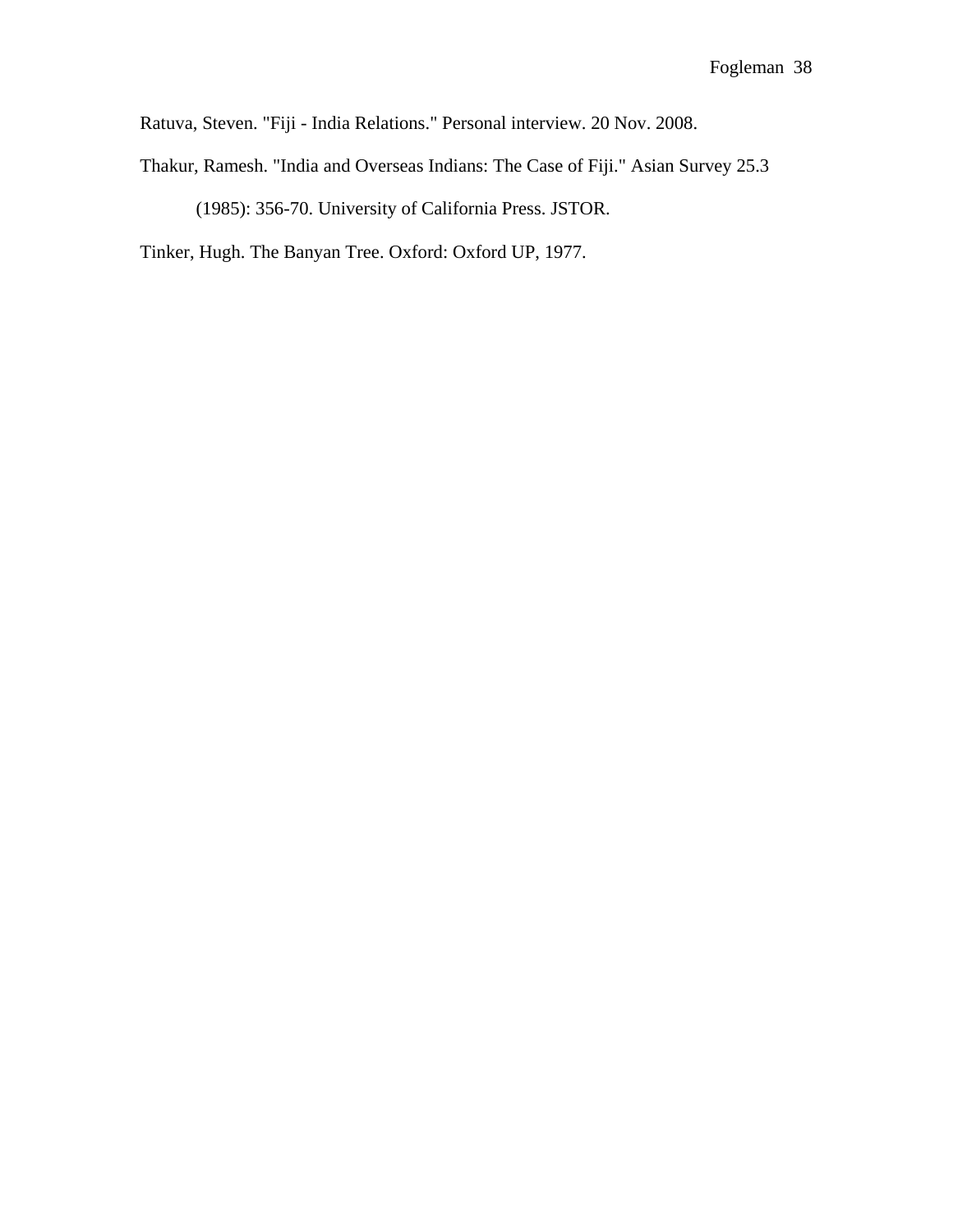Ratuva, Steven. "Fiji - India Relations." Personal interview. 20 Nov. 2008.

Thakur, Ramesh. "India and Overseas Indians: The Case of Fiji." Asian Survey 25.3

(1985): 356-70. University of California Press. JSTOR.

Tinker, Hugh. The Banyan Tree. Oxford: Oxford UP, 1977.